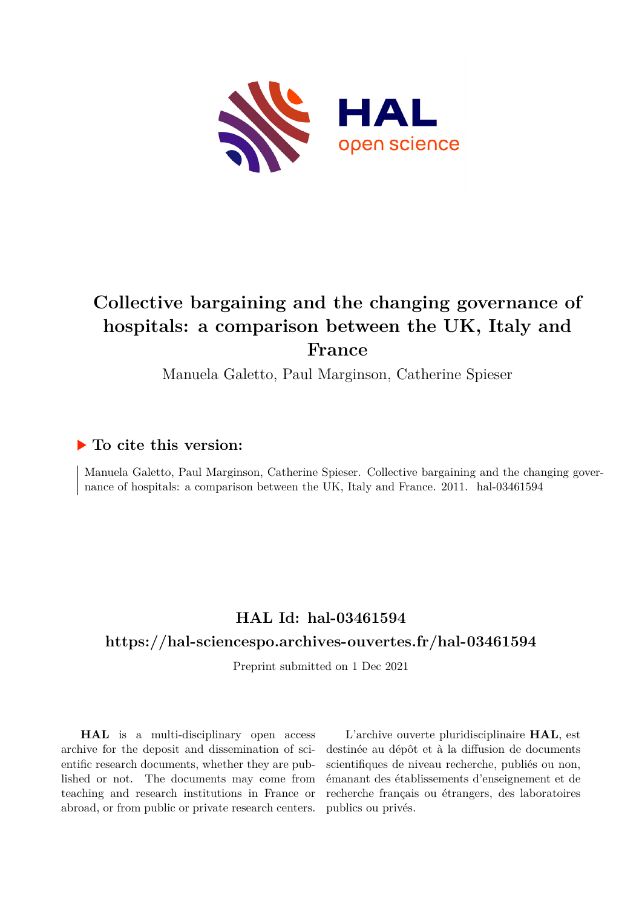

# **Collective bargaining and the changing governance of hospitals: a comparison between the UK, Italy and France**

Manuela Galetto, Paul Marginson, Catherine Spieser

## **To cite this version:**

Manuela Galetto, Paul Marginson, Catherine Spieser. Collective bargaining and the changing governance of hospitals: a comparison between the UK, Italy and France. 2011. hal-03461594

## **HAL Id: hal-03461594**

## **<https://hal-sciencespo.archives-ouvertes.fr/hal-03461594>**

Preprint submitted on 1 Dec 2021

**HAL** is a multi-disciplinary open access archive for the deposit and dissemination of scientific research documents, whether they are published or not. The documents may come from teaching and research institutions in France or abroad, or from public or private research centers.

L'archive ouverte pluridisciplinaire **HAL**, est destinée au dépôt et à la diffusion de documents scientifiques de niveau recherche, publiés ou non, émanant des établissements d'enseignement et de recherche français ou étrangers, des laboratoires publics ou privés.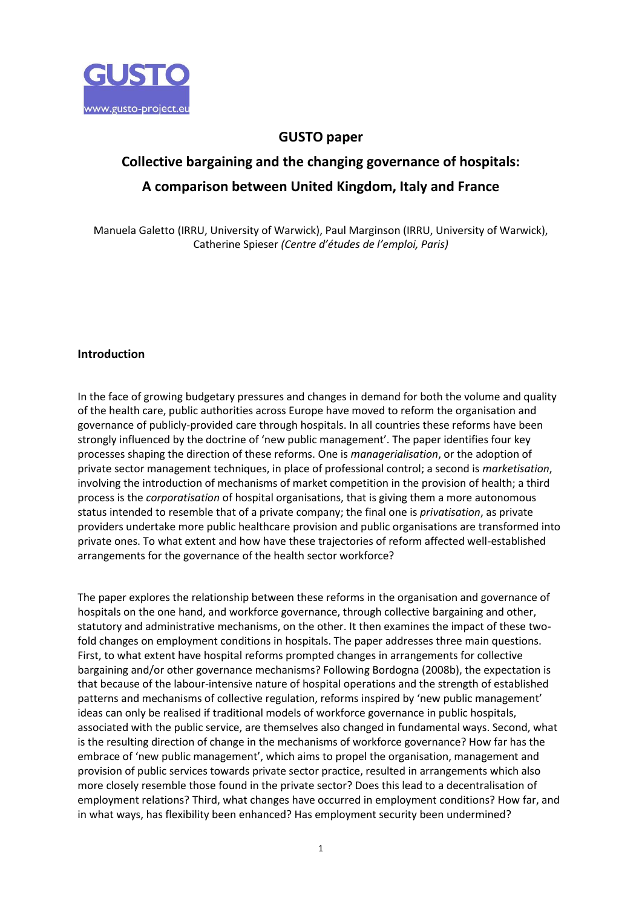

## **GUSTO paper**

# **Collective bargaining and the changing governance of hospitals: A comparison between United Kingdom, Italy and France**

Manuela Galetto (IRRU, University of Warwick), Paul Marginson (IRRU, University of Warwick), Catherine Spieser *(Centre d'études de l'emploi, Paris)*

#### **Introduction**

In the face of growing budgetary pressures and changes in demand for both the volume and quality of the health care, public authorities across Europe have moved to reform the organisation and governance of publicly-provided care through hospitals. In all countries these reforms have been strongly influenced by the doctrine of 'new public management'. The paper identifies four key processes shaping the direction of these reforms. One is *managerialisation*, or the adoption of private sector management techniques, in place of professional control; a second is *marketisation*, involving the introduction of mechanisms of market competition in the provision of health; a third process is the *corporatisation* of hospital organisations, that is giving them a more autonomous status intended to resemble that of a private company; the final one is *privatisation*, as private providers undertake more public healthcare provision and public organisations are transformed into private ones. To what extent and how have these trajectories of reform affected well-established arrangements for the governance of the health sector workforce?

The paper explores the relationship between these reforms in the organisation and governance of hospitals on the one hand, and workforce governance, through collective bargaining and other, statutory and administrative mechanisms, on the other. It then examines the impact of these twofold changes on employment conditions in hospitals. The paper addresses three main questions. First, to what extent have hospital reforms prompted changes in arrangements for collective bargaining and/or other governance mechanisms? Following Bordogna (2008b), the expectation is that because of the labour-intensive nature of hospital operations and the strength of established patterns and mechanisms of collective regulation, reforms inspired by 'new public management' ideas can only be realised if traditional models of workforce governance in public hospitals, associated with the public service, are themselves also changed in fundamental ways. Second, what is the resulting direction of change in the mechanisms of workforce governance? How far has the embrace of 'new public management', which aims to propel the organisation, management and provision of public services towards private sector practice, resulted in arrangements which also more closely resemble those found in the private sector? Does this lead to a decentralisation of employment relations? Third, what changes have occurred in employment conditions? How far, and in what ways, has flexibility been enhanced? Has employment security been undermined?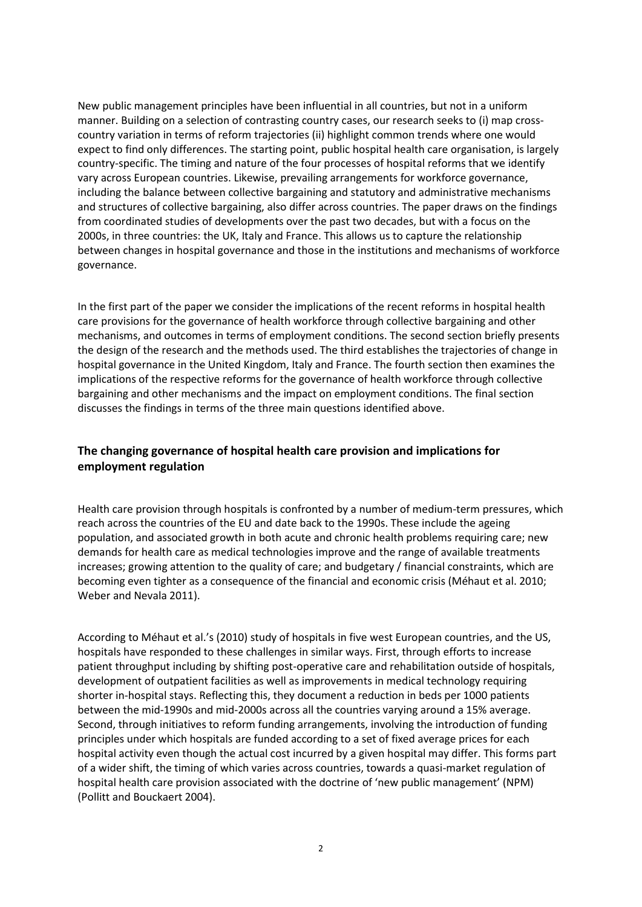New public management principles have been influential in all countries, but not in a uniform manner. Building on a selection of contrasting country cases, our research seeks to (i) map crosscountry variation in terms of reform trajectories (ii) highlight common trends where one would expect to find only differences. The starting point, public hospital health care organisation, is largely country-specific. The timing and nature of the four processes of hospital reforms that we identify vary across European countries. Likewise, prevailing arrangements for workforce governance, including the balance between collective bargaining and statutory and administrative mechanisms and structures of collective bargaining, also differ across countries. The paper draws on the findings from coordinated studies of developments over the past two decades, but with a focus on the 2000s, in three countries: the UK, Italy and France. This allows us to capture the relationship between changes in hospital governance and those in the institutions and mechanisms of workforce governance.

In the first part of the paper we consider the implications of the recent reforms in hospital health care provisions for the governance of health workforce through collective bargaining and other mechanisms, and outcomes in terms of employment conditions. The second section briefly presents the design of the research and the methods used. The third establishes the trajectories of change in hospital governance in the United Kingdom, Italy and France. The fourth section then examines the implications of the respective reforms for the governance of health workforce through collective bargaining and other mechanisms and the impact on employment conditions. The final section discusses the findings in terms of the three main questions identified above.

### **The changing governance of hospital health care provision and implications for employment regulation**

Health care provision through hospitals is confronted by a number of medium-term pressures, which reach across the countries of the EU and date back to the 1990s. These include the ageing population, and associated growth in both acute and chronic health problems requiring care; new demands for health care as medical technologies improve and the range of available treatments increases; growing attention to the quality of care; and budgetary / financial constraints, which are becoming even tighter as a consequence of the financial and economic crisis (Méhaut et al. 2010; Weber and Nevala 2011).

According to Méhaut et al.'s (2010) study of hospitals in five west European countries, and the US, hospitals have responded to these challenges in similar ways. First, through efforts to increase patient throughput including by shifting post-operative care and rehabilitation outside of hospitals, development of outpatient facilities as well as improvements in medical technology requiring shorter in-hospital stays. Reflecting this, they document a reduction in beds per 1000 patients between the mid-1990s and mid-2000s across all the countries varying around a 15% average. Second, through initiatives to reform funding arrangements, involving the introduction of funding principles under which hospitals are funded according to a set of fixed average prices for each hospital activity even though the actual cost incurred by a given hospital may differ. This forms part of a wider shift, the timing of which varies across countries, towards a quasi-market regulation of hospital health care provision associated with the doctrine of 'new public management' (NPM) (Pollitt and Bouckaert 2004).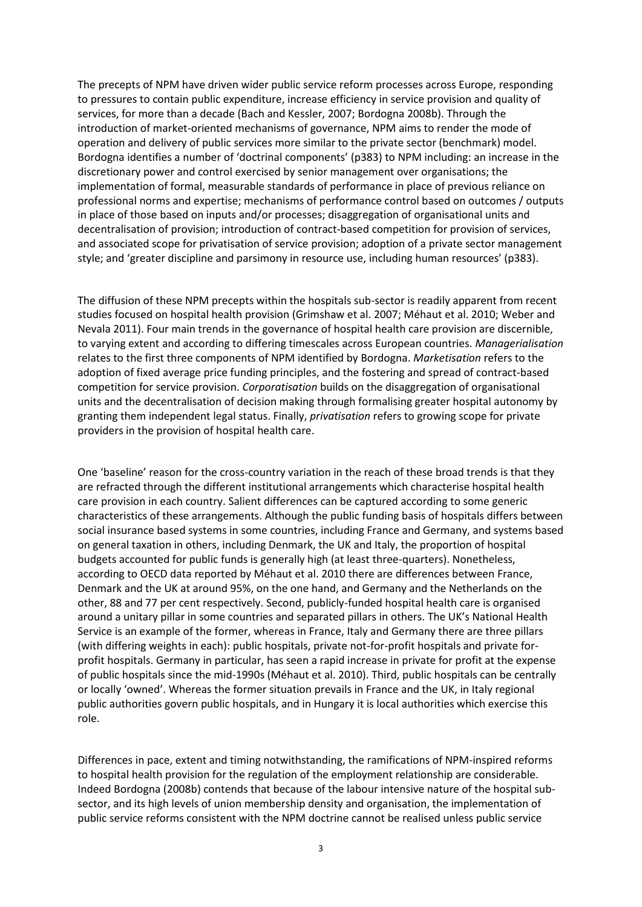The precepts of NPM have driven wider public service reform processes across Europe, responding to pressures to contain public expenditure, increase efficiency in service provision and quality of services, for more than a decade (Bach and Kessler, 2007; Bordogna 2008b). Through the introduction of market-oriented mechanisms of governance, NPM aims to render the mode of operation and delivery of public services more similar to the private sector (benchmark) model. Bordogna identifies a number of 'doctrinal components' (p383) to NPM including: an increase in the discretionary power and control exercised by senior management over organisations; the implementation of formal, measurable standards of performance in place of previous reliance on professional norms and expertise; mechanisms of performance control based on outcomes / outputs in place of those based on inputs and/or processes; disaggregation of organisational units and decentralisation of provision; introduction of contract-based competition for provision of services, and associated scope for privatisation of service provision; adoption of a private sector management style; and 'greater discipline and parsimony in resource use, including human resources' (p383).

The diffusion of these NPM precepts within the hospitals sub-sector is readily apparent from recent studies focused on hospital health provision (Grimshaw et al. 2007; Méhaut et al. 2010; Weber and Nevala 2011). Four main trends in the governance of hospital health care provision are discernible, to varying extent and according to differing timescales across European countries. *Managerialisation* relates to the first three components of NPM identified by Bordogna. *Marketisation* refers to the adoption of fixed average price funding principles, and the fostering and spread of contract-based competition for service provision. *Corporatisation* builds on the disaggregation of organisational units and the decentralisation of decision making through formalising greater hospital autonomy by granting them independent legal status. Finally, *privatisation* refers to growing scope for private providers in the provision of hospital health care.

One 'baseline' reason for the cross-country variation in the reach of these broad trends is that they are refracted through the different institutional arrangements which characterise hospital health care provision in each country. Salient differences can be captured according to some generic characteristics of these arrangements. Although the public funding basis of hospitals differs between social insurance based systems in some countries, including France and Germany, and systems based on general taxation in others, including Denmark, the UK and Italy, the proportion of hospital budgets accounted for public funds is generally high (at least three-quarters). Nonetheless, according to OECD data reported by Méhaut et al. 2010 there are differences between France, Denmark and the UK at around 95%, on the one hand, and Germany and the Netherlands on the other, 88 and 77 per cent respectively. Second, publicly-funded hospital health care is organised around a unitary pillar in some countries and separated pillars in others. The UK's National Health Service is an example of the former, whereas in France, Italy and Germany there are three pillars (with differing weights in each): public hospitals, private not-for-profit hospitals and private forprofit hospitals. Germany in particular, has seen a rapid increase in private for profit at the expense of public hospitals since the mid-1990s (Méhaut et al. 2010). Third, public hospitals can be centrally or locally 'owned'. Whereas the former situation prevails in France and the UK, in Italy regional public authorities govern public hospitals, and in Hungary it is local authorities which exercise this role.

Differences in pace, extent and timing notwithstanding, the ramifications of NPM-inspired reforms to hospital health provision for the regulation of the employment relationship are considerable. Indeed Bordogna (2008b) contends that because of the labour intensive nature of the hospital subsector, and its high levels of union membership density and organisation, the implementation of public service reforms consistent with the NPM doctrine cannot be realised unless public service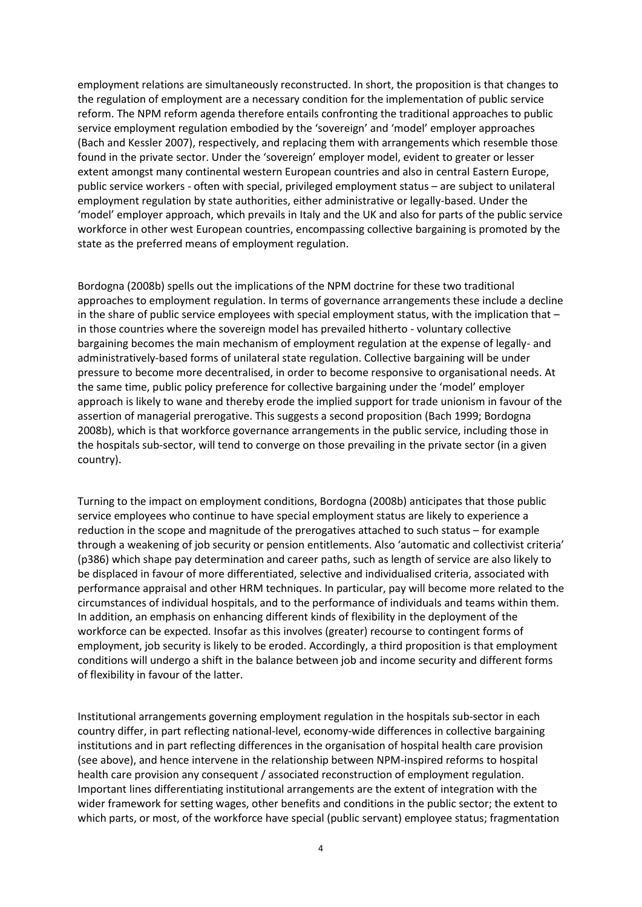employment relations are simultaneously reconstructed. In short, the proposition is that changes to the regulation of employment are a necessary condition for the implementation of public service reform. The NPM reform agenda therefore entails confronting the traditional approaches to public service employment regulation embodied by the 'sovereign' and 'model' employer approaches (Bach and Kessler 2007), respectively, and replacing them with arrangements which resemble those found in the private sector. Under the 'sovereign' employer model, evident to greater or lesser extent amongst many continental western European countries and also in central Eastern Europe, public service workers - often with special, privileged employment status – are subject to unilateral employment regulation by state authorities, either administrative or legally-based. Under the 'model' employer approach, which prevails in Italy and the UK and also for parts of the public service workforce in other west European countries, encompassing collective bargaining is promoted by the state as the preferred means of employment regulation.

Bordogna (2008b) spells out the implications of the NPM doctrine for these two traditional approaches to employment regulation. In terms of governance arrangements these include a decline in the share of public service employees with special employment status, with the implication that – in those countries where the sovereign model has prevailed hitherto - voluntary collective bargaining becomes the main mechanism of employment regulation at the expense of legally- and administratively-based forms of unilateral state regulation. Collective bargaining will be under pressure to become more decentralised, in order to become responsive to organisational needs. At the same time, public policy preference for collective bargaining under the 'model' employer approach is likely to wane and thereby erode the implied support for trade unionism in favour of the assertion of managerial prerogative. This suggests a second proposition (Bach 1999; Bordogna 2008b), which is that workforce governance arrangements in the public service, including those in the hospitals sub-sector, will tend to converge on those prevailing in the private sector (in a given country).

Turning to the impact on employment conditions, Bordogna (2008b) anticipates that those public service employees who continue to have special employment status are likely to experience a reduction in the scope and magnitude of the prerogatives attached to such status – for example through a weakening of job security or pension entitlements. Also 'automatic and collectivist criteria' (p386) which shape pay determination and career paths, such as length of service are also likely to be displaced in favour of more differentiated, selective and individualised criteria, associated with performance appraisal and other HRM techniques. In particular, pay will become more related to the circumstances of individual hospitals, and to the performance of individuals and teams within them. In addition, an emphasis on enhancing different kinds of flexibility in the deployment of the workforce can be expected. Insofar as this involves (greater) recourse to contingent forms of employment, job security is likely to be eroded. Accordingly, a third proposition is that employment conditions will undergo a shift in the balance between job and income security and different forms of flexibility in favour of the latter.

Institutional arrangements governing employment regulation in the hospitals sub-sector in each country differ, in part reflecting national-level, economy-wide differences in collective bargaining institutions and in part reflecting differences in the organisation of hospital health care provision (see above), and hence intervene in the relationship between NPM-inspired reforms to hospital health care provision any consequent / associated reconstruction of employment regulation. Important lines differentiating institutional arrangements are the extent of integration with the wider framework for setting wages, other benefits and conditions in the public sector; the extent to which parts, or most, of the workforce have special (public servant) employee status; fragmentation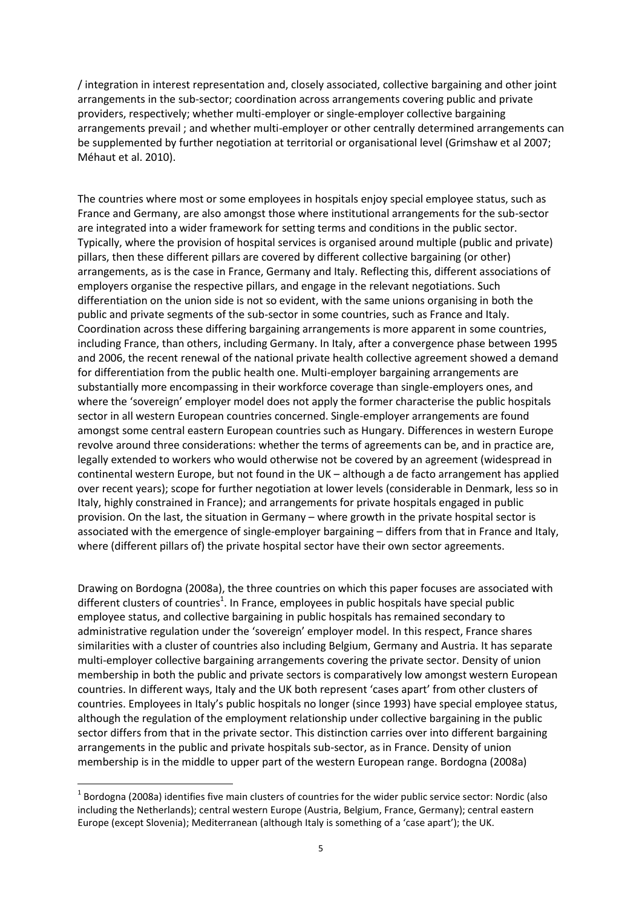/ integration in interest representation and, closely associated, collective bargaining and other joint arrangements in the sub-sector; coordination across arrangements covering public and private providers, respectively; whether multi-employer or single-employer collective bargaining arrangements prevail ; and whether multi-employer or other centrally determined arrangements can be supplemented by further negotiation at territorial or organisational level (Grimshaw et al 2007; Méhaut et al. 2010).

The countries where most or some employees in hospitals enjoy special employee status, such as France and Germany, are also amongst those where institutional arrangements for the sub-sector are integrated into a wider framework for setting terms and conditions in the public sector. Typically, where the provision of hospital services is organised around multiple (public and private) pillars, then these different pillars are covered by different collective bargaining (or other) arrangements, as is the case in France, Germany and Italy. Reflecting this, different associations of employers organise the respective pillars, and engage in the relevant negotiations. Such differentiation on the union side is not so evident, with the same unions organising in both the public and private segments of the sub-sector in some countries, such as France and Italy. Coordination across these differing bargaining arrangements is more apparent in some countries, including France, than others, including Germany. In Italy, after a convergence phase between 1995 and 2006, the recent renewal of the national private health collective agreement showed a demand for differentiation from the public health one. Multi-employer bargaining arrangements are substantially more encompassing in their workforce coverage than single-employers ones, and where the 'sovereign' employer model does not apply the former characterise the public hospitals sector in all western European countries concerned. Single-employer arrangements are found amongst some central eastern European countries such as Hungary. Differences in western Europe revolve around three considerations: whether the terms of agreements can be, and in practice are, legally extended to workers who would otherwise not be covered by an agreement (widespread in continental western Europe, but not found in the UK – although a de facto arrangement has applied over recent years); scope for further negotiation at lower levels (considerable in Denmark, less so in Italy, highly constrained in France); and arrangements for private hospitals engaged in public provision. On the last, the situation in Germany – where growth in the private hospital sector is associated with the emergence of single-employer bargaining – differs from that in France and Italy, where (different pillars of) the private hospital sector have their own sector agreements.

Drawing on Bordogna (2008a), the three countries on which this paper focuses are associated with different clusters of countries<sup>1</sup>. In France, employees in public hospitals have special public employee status, and collective bargaining in public hospitals has remained secondary to administrative regulation under the 'sovereign' employer model. In this respect, France shares similarities with a cluster of countries also including Belgium, Germany and Austria. It has separate multi-employer collective bargaining arrangements covering the private sector. Density of union membership in both the public and private sectors is comparatively low amongst western European countries. In different ways, Italy and the UK both represent 'cases apart' from other clusters of countries. Employees in Italy's public hospitals no longer (since 1993) have special employee status, although the regulation of the employment relationship under collective bargaining in the public sector differs from that in the private sector. This distinction carries over into different bargaining arrangements in the public and private hospitals sub-sector, as in France. Density of union membership is in the middle to upper part of the western European range. Bordogna (2008a)

**.** 

 $^1$  Bordogna (2008a) identifies five main clusters of countries for the wider public service sector: Nordic (also including the Netherlands); central western Europe (Austria, Belgium, France, Germany); central eastern Europe (except Slovenia); Mediterranean (although Italy is something of a 'case apart'); the UK.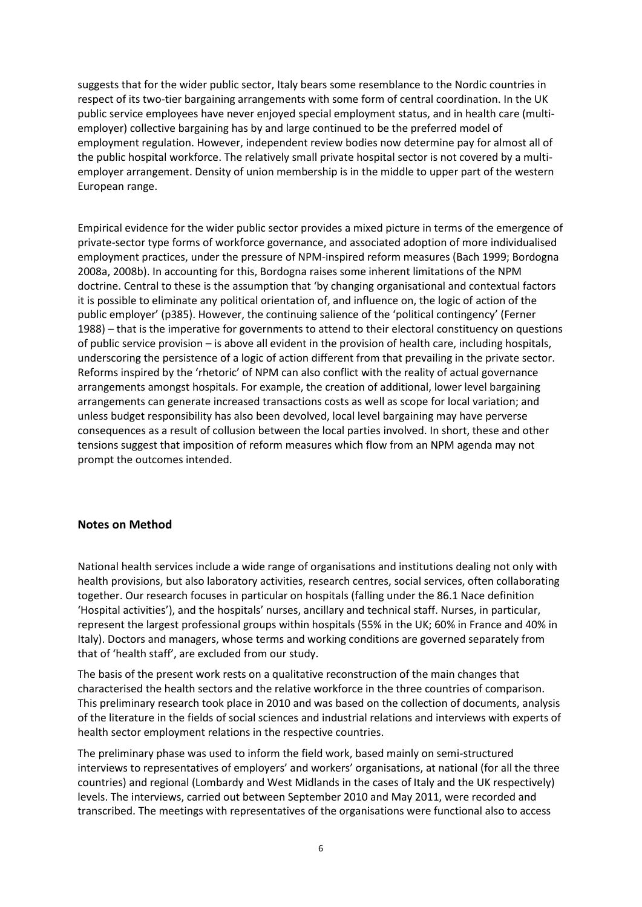suggests that for the wider public sector, Italy bears some resemblance to the Nordic countries in respect of its two-tier bargaining arrangements with some form of central coordination. In the UK public service employees have never enjoyed special employment status, and in health care (multiemployer) collective bargaining has by and large continued to be the preferred model of employment regulation. However, independent review bodies now determine pay for almost all of the public hospital workforce. The relatively small private hospital sector is not covered by a multiemployer arrangement. Density of union membership is in the middle to upper part of the western European range.

Empirical evidence for the wider public sector provides a mixed picture in terms of the emergence of private-sector type forms of workforce governance, and associated adoption of more individualised employment practices, under the pressure of NPM-inspired reform measures (Bach 1999; Bordogna 2008a, 2008b). In accounting for this, Bordogna raises some inherent limitations of the NPM doctrine. Central to these is the assumption that 'by changing organisational and contextual factors it is possible to eliminate any political orientation of, and influence on, the logic of action of the public employer' (p385). However, the continuing salience of the 'political contingency' (Ferner 1988) – that is the imperative for governments to attend to their electoral constituency on questions of public service provision – is above all evident in the provision of health care, including hospitals, underscoring the persistence of a logic of action different from that prevailing in the private sector. Reforms inspired by the 'rhetoric' of NPM can also conflict with the reality of actual governance arrangements amongst hospitals. For example, the creation of additional, lower level bargaining arrangements can generate increased transactions costs as well as scope for local variation; and unless budget responsibility has also been devolved, local level bargaining may have perverse consequences as a result of collusion between the local parties involved. In short, these and other tensions suggest that imposition of reform measures which flow from an NPM agenda may not prompt the outcomes intended.

#### **Notes on Method**

National health services include a wide range of organisations and institutions dealing not only with health provisions, but also laboratory activities, research centres, social services, often collaborating together. Our research focuses in particular on hospitals (falling under the 86.1 Nace definition 'Hospital activities'), and the hospitals' nurses, ancillary and technical staff. Nurses, in particular, represent the largest professional groups within hospitals (55% in the UK; 60% in France and 40% in Italy). Doctors and managers, whose terms and working conditions are governed separately from that of 'health staff', are excluded from our study.

The basis of the present work rests on a qualitative reconstruction of the main changes that characterised the health sectors and the relative workforce in the three countries of comparison. This preliminary research took place in 2010 and was based on the collection of documents, analysis of the literature in the fields of social sciences and industrial relations and interviews with experts of health sector employment relations in the respective countries.

The preliminary phase was used to inform the field work, based mainly on semi-structured interviews to representatives of employers' and workers' organisations, at national (for all the three countries) and regional (Lombardy and West Midlands in the cases of Italy and the UK respectively) levels. The interviews, carried out between September 2010 and May 2011, were recorded and transcribed. The meetings with representatives of the organisations were functional also to access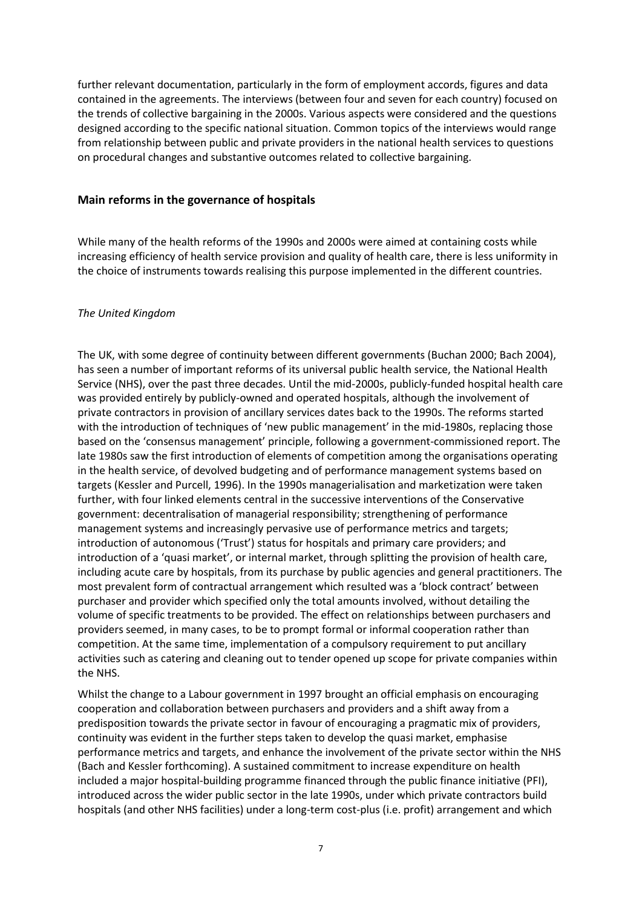further relevant documentation, particularly in the form of employment accords, figures and data contained in the agreements. The interviews (between four and seven for each country) focused on the trends of collective bargaining in the 2000s. Various aspects were considered and the questions designed according to the specific national situation. Common topics of the interviews would range from relationship between public and private providers in the national health services to questions on procedural changes and substantive outcomes related to collective bargaining.

#### **Main reforms in the governance of hospitals**

While many of the health reforms of the 1990s and 2000s were aimed at containing costs while increasing efficiency of health service provision and quality of health care, there is less uniformity in the choice of instruments towards realising this purpose implemented in the different countries.

#### *The United Kingdom*

The UK, with some degree of continuity between different governments (Buchan 2000; Bach 2004), has seen a number of important reforms of its universal public health service, the National Health Service (NHS), over the past three decades. Until the mid-2000s, publicly-funded hospital health care was provided entirely by publicly-owned and operated hospitals, although the involvement of private contractors in provision of ancillary services dates back to the 1990s. The reforms started with the introduction of techniques of 'new public management' in the mid-1980s, replacing those based on the 'consensus management' principle, following a government-commissioned report. The late 1980s saw the first introduction of elements of competition among the organisations operating in the health service, of devolved budgeting and of performance management systems based on targets (Kessler and Purcell, 1996). In the 1990s managerialisation and marketization were taken further, with four linked elements central in the successive interventions of the Conservative government: decentralisation of managerial responsibility; strengthening of performance management systems and increasingly pervasive use of performance metrics and targets; introduction of autonomous ('Trust') status for hospitals and primary care providers; and introduction of a 'quasi market', or internal market, through splitting the provision of health care, including acute care by hospitals, from its purchase by public agencies and general practitioners. The most prevalent form of contractual arrangement which resulted was a 'block contract' between purchaser and provider which specified only the total amounts involved, without detailing the volume of specific treatments to be provided. The effect on relationships between purchasers and providers seemed, in many cases, to be to prompt formal or informal cooperation rather than competition. At the same time, implementation of a compulsory requirement to put ancillary activities such as catering and cleaning out to tender opened up scope for private companies within the NHS.

Whilst the change to a Labour government in 1997 brought an official emphasis on encouraging cooperation and collaboration between purchasers and providers and a shift away from a predisposition towards the private sector in favour of encouraging a pragmatic mix of providers, continuity was evident in the further steps taken to develop the quasi market, emphasise performance metrics and targets, and enhance the involvement of the private sector within the NHS (Bach and Kessler forthcoming). A sustained commitment to increase expenditure on health included a major hospital-building programme financed through the public finance initiative (PFI), introduced across the wider public sector in the late 1990s, under which private contractors build hospitals (and other NHS facilities) under a long-term cost-plus (i.e. profit) arrangement and which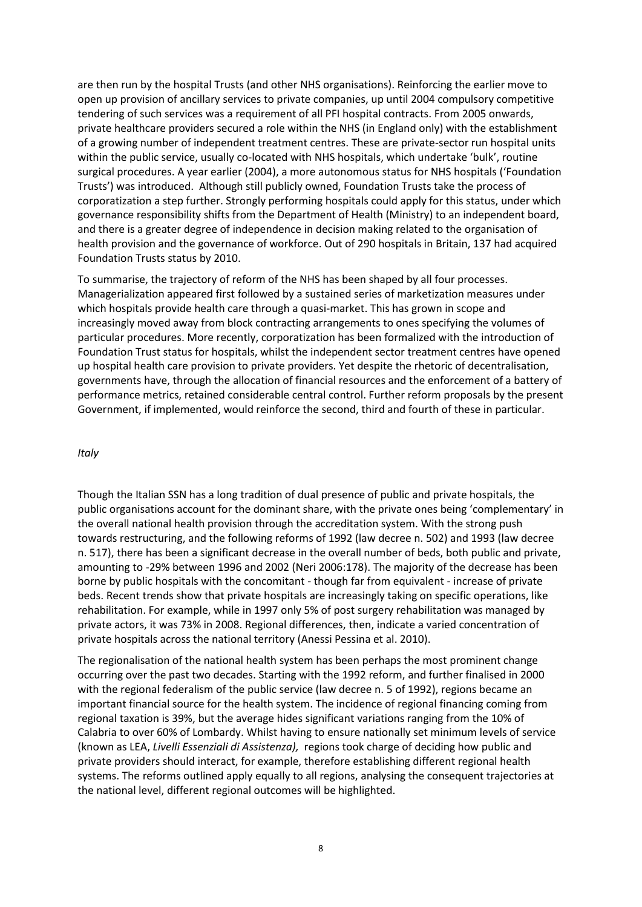are then run by the hospital Trusts (and other NHS organisations). Reinforcing the earlier move to open up provision of ancillary services to private companies, up until 2004 compulsory competitive tendering of such services was a requirement of all PFI hospital contracts. From 2005 onwards, private healthcare providers secured a role within the NHS (in England only) with the establishment of a growing number of independent treatment centres. These are private-sector run hospital units within the public service, usually co-located with NHS hospitals, which undertake 'bulk', routine surgical procedures. A year earlier (2004), a more autonomous status for NHS hospitals ('Foundation Trusts') was introduced. Although still publicly owned, Foundation Trusts take the process of corporatization a step further. Strongly performing hospitals could apply for this status, under which governance responsibility shifts from the Department of Health (Ministry) to an independent board, and there is a greater degree of independence in decision making related to the organisation of health provision and the governance of workforce. Out of 290 hospitals in Britain, 137 had acquired Foundation Trusts status by 2010.

To summarise, the trajectory of reform of the NHS has been shaped by all four processes. Managerialization appeared first followed by a sustained series of marketization measures under which hospitals provide health care through a quasi-market. This has grown in scope and increasingly moved away from block contracting arrangements to ones specifying the volumes of particular procedures. More recently, corporatization has been formalized with the introduction of Foundation Trust status for hospitals, whilst the independent sector treatment centres have opened up hospital health care provision to private providers. Yet despite the rhetoric of decentralisation, governments have, through the allocation of financial resources and the enforcement of a battery of performance metrics, retained considerable central control. Further reform proposals by the present Government, if implemented, would reinforce the second, third and fourth of these in particular.

#### *Italy*

Though the Italian SSN has a long tradition of dual presence of public and private hospitals, the public organisations account for the dominant share, with the private ones being 'complementary' in the overall national health provision through the accreditation system. With the strong push towards restructuring, and the following reforms of 1992 (law decree n. 502) and 1993 (law decree n. 517), there has been a significant decrease in the overall number of beds, both public and private, amounting to -29% between 1996 and 2002 (Neri 2006:178). The majority of the decrease has been borne by public hospitals with the concomitant - though far from equivalent - increase of private beds. Recent trends show that private hospitals are increasingly taking on specific operations, like rehabilitation. For example, while in 1997 only 5% of post surgery rehabilitation was managed by private actors, it was 73% in 2008. Regional differences, then, indicate a varied concentration of private hospitals across the national territory (Anessi Pessina et al. 2010).

The regionalisation of the national health system has been perhaps the most prominent change occurring over the past two decades. Starting with the 1992 reform, and further finalised in 2000 with the regional federalism of the public service (law decree n. 5 of 1992), regions became an important financial source for the health system. The incidence of regional financing coming from regional taxation is 39%, but the average hides significant variations ranging from the 10% of Calabria to over 60% of Lombardy. Whilst having to ensure nationally set minimum levels of service (known as LEA, *Livelli Essenziali di Assistenza),* regions took charge of deciding how public and private providers should interact, for example, therefore establishing different regional health systems. The reforms outlined apply equally to all regions, analysing the consequent trajectories at the national level, different regional outcomes will be highlighted.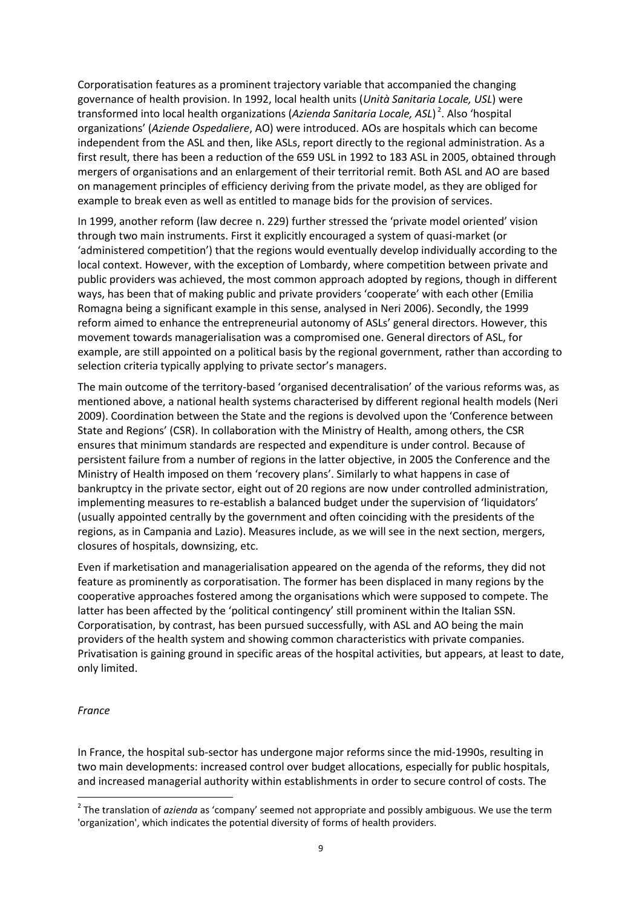Corporatisation features as a prominent trajectory variable that accompanied the changing governance of health provision. In 1992, local health units (*Unità Sanitaria Locale, USL*) were transformed into local health organizations (*Azienda Sanitaria Locale, ASL*) 2 . Also 'hospital organizations' (*Aziende Ospedaliere*, AO) were introduced. AOs are hospitals which can become independent from the ASL and then, like ASLs, report directly to the regional administration. As a first result, there has been a reduction of the 659 USL in 1992 to 183 ASL in 2005, obtained through mergers of organisations and an enlargement of their territorial remit. Both ASL and AO are based on management principles of efficiency deriving from the private model, as they are obliged for example to break even as well as entitled to manage bids for the provision of services.

In 1999, another reform (law decree n. 229) further stressed the 'private model oriented' vision through two main instruments. First it explicitly encouraged a system of quasi-market (or 'administered competition') that the regions would eventually develop individually according to the local context. However, with the exception of Lombardy, where competition between private and public providers was achieved, the most common approach adopted by regions, though in different ways, has been that of making public and private providers 'cooperate' with each other (Emilia Romagna being a significant example in this sense, analysed in Neri 2006). Secondly, the 1999 reform aimed to enhance the entrepreneurial autonomy of ASLs' general directors. However, this movement towards managerialisation was a compromised one. General directors of ASL, for example, are still appointed on a political basis by the regional government, rather than according to selection criteria typically applying to private sector's managers.

The main outcome of the territory-based 'organised decentralisation' of the various reforms was, as mentioned above, a national health systems characterised by different regional health models (Neri 2009). Coordination between the State and the regions is devolved upon the 'Conference between State and Regions' (CSR). In collaboration with the Ministry of Health, among others, the CSR ensures that minimum standards are respected and expenditure is under control. Because of persistent failure from a number of regions in the latter objective, in 2005 the Conference and the Ministry of Health imposed on them 'recovery plans'. Similarly to what happens in case of bankruptcy in the private sector, eight out of 20 regions are now under controlled administration, implementing measures to re-establish a balanced budget under the supervision of 'liquidators' (usually appointed centrally by the government and often coinciding with the presidents of the regions, as in Campania and Lazio). Measures include, as we will see in the next section, mergers, closures of hospitals, downsizing, etc.

Even if marketisation and managerialisation appeared on the agenda of the reforms, they did not feature as prominently as corporatisation. The former has been displaced in many regions by the cooperative approaches fostered among the organisations which were supposed to compete. The latter has been affected by the 'political contingency' still prominent within the Italian SSN. Corporatisation, by contrast, has been pursued successfully, with ASL and AO being the main providers of the health system and showing common characteristics with private companies. Privatisation is gaining ground in specific areas of the hospital activities, but appears, at least to date, only limited.

#### *France*

In France, the hospital sub-sector has undergone major reforms since the mid-1990s, resulting in two main developments: increased control over budget allocations, especially for public hospitals, and increased managerial authority within establishments in order to secure control of costs. The

 2 The translation of *azienda* as 'company' seemed not appropriate and possibly ambiguous. We use the term 'organization', which indicates the potential diversity of forms of health providers.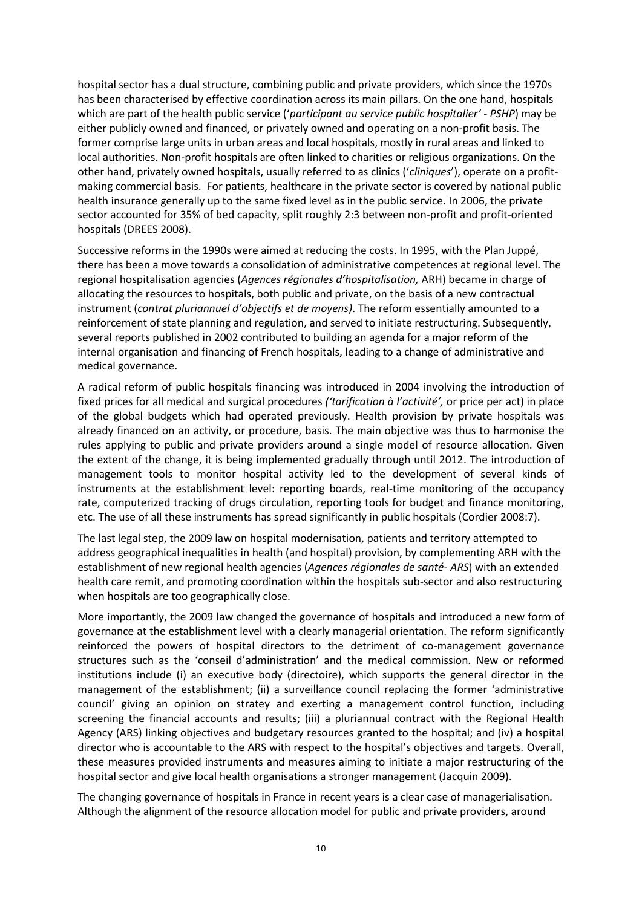hospital sector has a dual structure, combining public and private providers, which since the 1970s has been characterised by effective coordination across its main pillars. On the one hand, hospitals which are part of the health public service ('*participant au service public hospitalier' - PSHP*) may be either publicly owned and financed, or privately owned and operating on a non-profit basis. The former comprise large units in urban areas and local hospitals, mostly in rural areas and linked to local authorities. Non-profit hospitals are often linked to charities or religious organizations. On the other hand, privately owned hospitals, usually referred to as clinics ('*cliniques*'), operate on a profitmaking commercial basis. For patients, healthcare in the private sector is covered by national public health insurance generally up to the same fixed level as in the public service. In 2006, the private sector accounted for 35% of bed capacity, split roughly 2:3 between non-profit and profit-oriented hospitals (DREES 2008).

Successive reforms in the 1990s were aimed at reducing the costs. In 1995, with the Plan Juppé, there has been a move towards a consolidation of administrative competences at regional level. The regional hospitalisation agencies (*Agences régionales d'hospitalisation,* ARH) became in charge of allocating the resources to hospitals, both public and private, on the basis of a new contractual instrument (*contrat pluriannuel d'objectifs et de moyens)*. The reform essentially amounted to a reinforcement of state planning and regulation, and served to initiate restructuring. Subsequently, several reports published in 2002 contributed to building an agenda for a major reform of the internal organisation and financing of French hospitals, leading to a change of administrative and medical governance.

A radical reform of public hospitals financing was introduced in 2004 involving the introduction of fixed prices for all medical and surgical procedures *('tarification à l'activité',* or price per act) in place of the global budgets which had operated previously. Health provision by private hospitals was already financed on an activity, or procedure, basis. The main objective was thus to harmonise the rules applying to public and private providers around a single model of resource allocation. Given the extent of the change, it is being implemented gradually through until 2012. The introduction of management tools to monitor hospital activity led to the development of several kinds of instruments at the establishment level: reporting boards, real-time monitoring of the occupancy rate, computerized tracking of drugs circulation, reporting tools for budget and finance monitoring, etc. The use of all these instruments has spread significantly in public hospitals (Cordier 2008:7).

The last legal step, the 2009 law on hospital modernisation, patients and territory attempted to address geographical inequalities in health (and hospital) provision, by complementing ARH with the establishment of new regional health agencies (*Agences régionales de santé- ARS*) with an extended health care remit, and promoting coordination within the hospitals sub-sector and also restructuring when hospitals are too geographically close.

More importantly, the 2009 law changed the governance of hospitals and introduced a new form of governance at the establishment level with a clearly managerial orientation. The reform significantly reinforced the powers of hospital directors to the detriment of co-management governance structures such as the 'conseil d'administration' and the medical commission. New or reformed institutions include (i) an executive body (directoire), which supports the general director in the management of the establishment; (ii) a surveillance council replacing the former 'administrative council' giving an opinion on stratey and exerting a management control function, including screening the financial accounts and results; (iii) a pluriannual contract with the Regional Health Agency (ARS) linking objectives and budgetary resources granted to the hospital; and (iv) a hospital director who is accountable to the ARS with respect to the hospital's objectives and targets. Overall, these measures provided instruments and measures aiming to initiate a major restructuring of the hospital sector and give local health organisations a stronger management (Jacquin 2009).

The changing governance of hospitals in France in recent years is a clear case of managerialisation. Although the alignment of the resource allocation model for public and private providers, around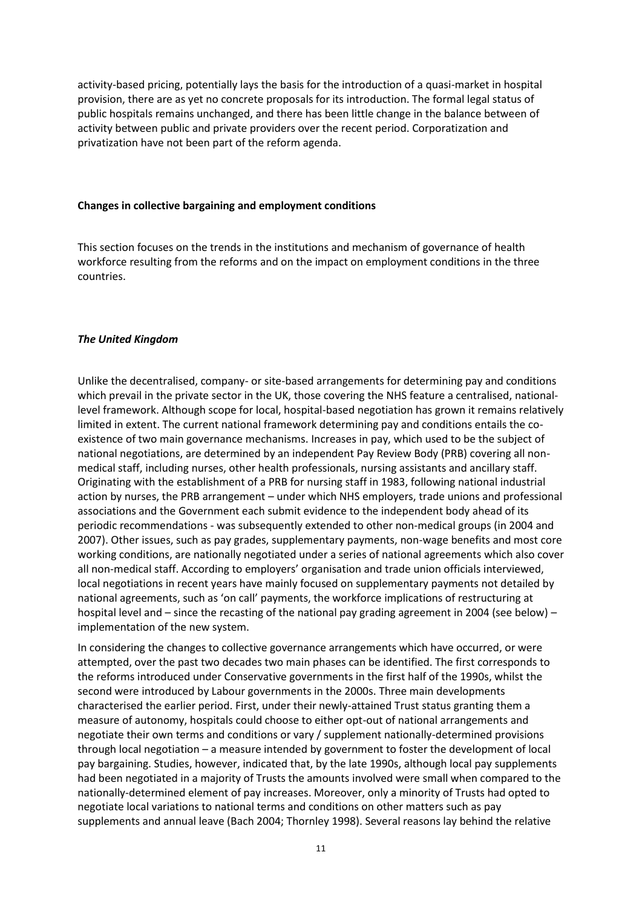activity-based pricing, potentially lays the basis for the introduction of a quasi-market in hospital provision, there are as yet no concrete proposals for its introduction. The formal legal status of public hospitals remains unchanged, and there has been little change in the balance between of activity between public and private providers over the recent period. Corporatization and privatization have not been part of the reform agenda.

#### **Changes in collective bargaining and employment conditions**

This section focuses on the trends in the institutions and mechanism of governance of health workforce resulting from the reforms and on the impact on employment conditions in the three countries.

#### *The United Kingdom*

Unlike the decentralised, company- or site-based arrangements for determining pay and conditions which prevail in the private sector in the UK, those covering the NHS feature a centralised, nationallevel framework. Although scope for local, hospital-based negotiation has grown it remains relatively limited in extent. The current national framework determining pay and conditions entails the coexistence of two main governance mechanisms. Increases in pay, which used to be the subject of national negotiations, are determined by an independent Pay Review Body (PRB) covering all nonmedical staff, including nurses, other health professionals, nursing assistants and ancillary staff. Originating with the establishment of a PRB for nursing staff in 1983, following national industrial action by nurses, the PRB arrangement – under which NHS employers, trade unions and professional associations and the Government each submit evidence to the independent body ahead of its periodic recommendations - was subsequently extended to other non-medical groups (in 2004 and 2007). Other issues, such as pay grades, supplementary payments, non-wage benefits and most core working conditions, are nationally negotiated under a series of national agreements which also cover all non-medical staff. According to employers' organisation and trade union officials interviewed, local negotiations in recent years have mainly focused on supplementary payments not detailed by national agreements, such as 'on call' payments, the workforce implications of restructuring at hospital level and – since the recasting of the national pay grading agreement in 2004 (see below) – implementation of the new system.

In considering the changes to collective governance arrangements which have occurred, or were attempted, over the past two decades two main phases can be identified. The first corresponds to the reforms introduced under Conservative governments in the first half of the 1990s, whilst the second were introduced by Labour governments in the 2000s. Three main developments characterised the earlier period. First, under their newly-attained Trust status granting them a measure of autonomy, hospitals could choose to either opt-out of national arrangements and negotiate their own terms and conditions or vary / supplement nationally-determined provisions through local negotiation – a measure intended by government to foster the development of local pay bargaining. Studies, however, indicated that, by the late 1990s, although local pay supplements had been negotiated in a majority of Trusts the amounts involved were small when compared to the nationally-determined element of pay increases. Moreover, only a minority of Trusts had opted to negotiate local variations to national terms and conditions on other matters such as pay supplements and annual leave (Bach 2004; Thornley 1998). Several reasons lay behind the relative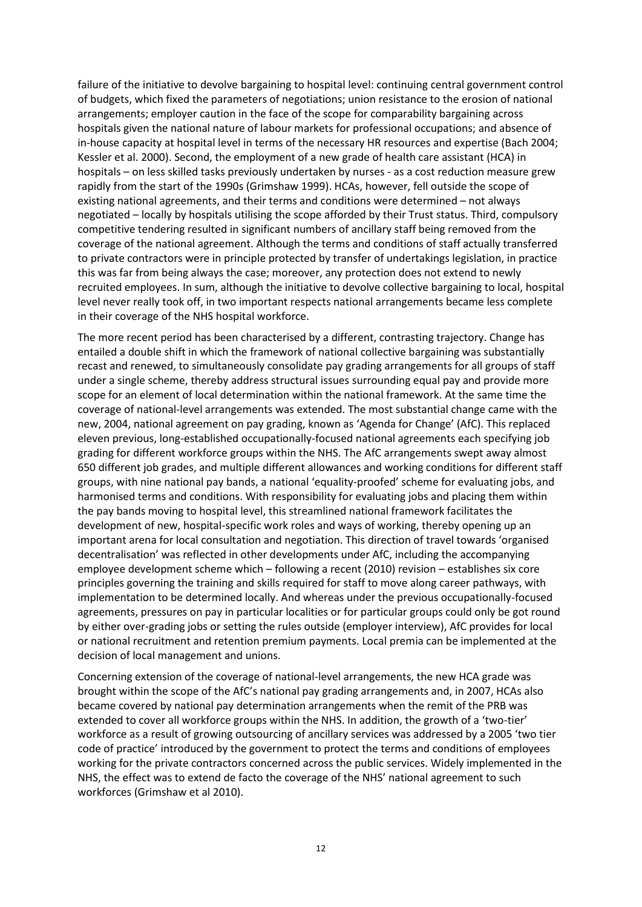failure of the initiative to devolve bargaining to hospital level: continuing central government control of budgets, which fixed the parameters of negotiations; union resistance to the erosion of national arrangements; employer caution in the face of the scope for comparability bargaining across hospitals given the national nature of labour markets for professional occupations; and absence of in-house capacity at hospital level in terms of the necessary HR resources and expertise (Bach 2004; Kessler et al. 2000). Second, the employment of a new grade of health care assistant (HCA) in hospitals – on less skilled tasks previously undertaken by nurses - as a cost reduction measure grew rapidly from the start of the 1990s (Grimshaw 1999). HCAs, however, fell outside the scope of existing national agreements, and their terms and conditions were determined – not always negotiated – locally by hospitals utilising the scope afforded by their Trust status. Third, compulsory competitive tendering resulted in significant numbers of ancillary staff being removed from the coverage of the national agreement. Although the terms and conditions of staff actually transferred to private contractors were in principle protected by transfer of undertakings legislation, in practice this was far from being always the case; moreover, any protection does not extend to newly recruited employees. In sum, although the initiative to devolve collective bargaining to local, hospital level never really took off, in two important respects national arrangements became less complete in their coverage of the NHS hospital workforce.

The more recent period has been characterised by a different, contrasting trajectory. Change has entailed a double shift in which the framework of national collective bargaining was substantially recast and renewed, to simultaneously consolidate pay grading arrangements for all groups of staff under a single scheme, thereby address structural issues surrounding equal pay and provide more scope for an element of local determination within the national framework. At the same time the coverage of national-level arrangements was extended. The most substantial change came with the new, 2004, national agreement on pay grading, known as 'Agenda for Change' (AfC). This replaced eleven previous, long-established occupationally-focused national agreements each specifying job grading for different workforce groups within the NHS. The AfC arrangements swept away almost 650 different job grades, and multiple different allowances and working conditions for different staff groups, with nine national pay bands, a national 'equality-proofed' scheme for evaluating jobs, and harmonised terms and conditions. With responsibility for evaluating jobs and placing them within the pay bands moving to hospital level, this streamlined national framework facilitates the development of new, hospital-specific work roles and ways of working, thereby opening up an important arena for local consultation and negotiation. This direction of travel towards 'organised decentralisation' was reflected in other developments under AfC, including the accompanying employee development scheme which – following a recent (2010) revision – establishes six core principles governing the training and skills required for staff to move along career pathways, with implementation to be determined locally. And whereas under the previous occupationally-focused agreements, pressures on pay in particular localities or for particular groups could only be got round by either over-grading jobs or setting the rules outside (employer interview), AfC provides for local or national recruitment and retention premium payments. Local premia can be implemented at the decision of local management and unions.

Concerning extension of the coverage of national-level arrangements, the new HCA grade was brought within the scope of the AfC's national pay grading arrangements and, in 2007, HCAs also became covered by national pay determination arrangements when the remit of the PRB was extended to cover all workforce groups within the NHS. In addition, the growth of a 'two-tier' workforce as a result of growing outsourcing of ancillary services was addressed by a 2005 'two tier code of practice' introduced by the government to protect the terms and conditions of employees working for the private contractors concerned across the public services. Widely implemented in the NHS, the effect was to extend de facto the coverage of the NHS' national agreement to such workforces (Grimshaw et al 2010).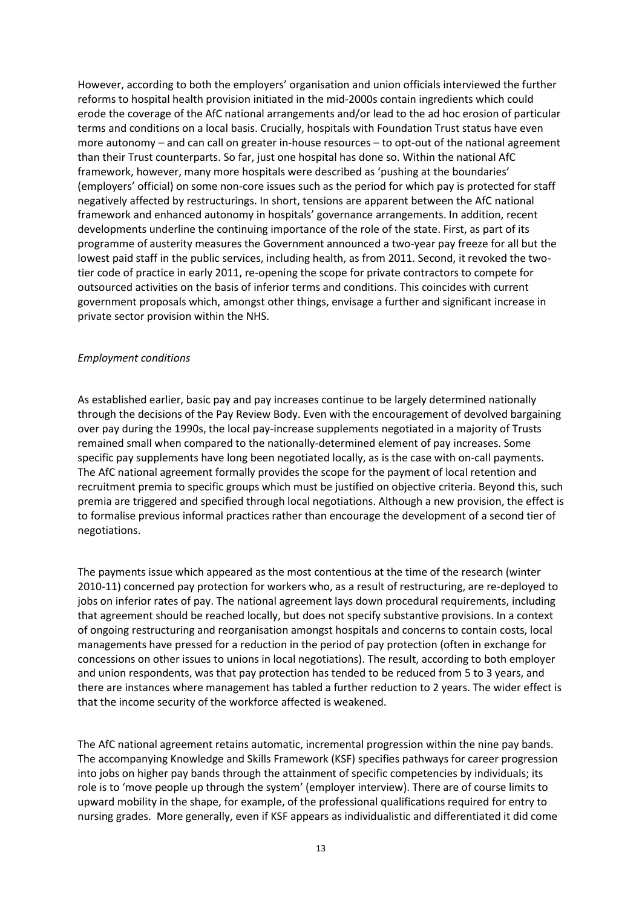However, according to both the employers' organisation and union officials interviewed the further reforms to hospital health provision initiated in the mid-2000s contain ingredients which could erode the coverage of the AfC national arrangements and/or lead to the ad hoc erosion of particular terms and conditions on a local basis. Crucially, hospitals with Foundation Trust status have even more autonomy – and can call on greater in-house resources – to opt-out of the national agreement than their Trust counterparts. So far, just one hospital has done so. Within the national AfC framework, however, many more hospitals were described as 'pushing at the boundaries' (employers' official) on some non-core issues such as the period for which pay is protected for staff negatively affected by restructurings. In short, tensions are apparent between the AfC national framework and enhanced autonomy in hospitals' governance arrangements. In addition, recent developments underline the continuing importance of the role of the state. First, as part of its programme of austerity measures the Government announced a two-year pay freeze for all but the lowest paid staff in the public services, including health, as from 2011. Second, it revoked the twotier code of practice in early 2011, re-opening the scope for private contractors to compete for outsourced activities on the basis of inferior terms and conditions. This coincides with current government proposals which, amongst other things, envisage a further and significant increase in private sector provision within the NHS.

#### *Employment conditions*

As established earlier, basic pay and pay increases continue to be largely determined nationally through the decisions of the Pay Review Body. Even with the encouragement of devolved bargaining over pay during the 1990s, the local pay-increase supplements negotiated in a majority of Trusts remained small when compared to the nationally-determined element of pay increases. Some specific pay supplements have long been negotiated locally, as is the case with on-call payments. The AfC national agreement formally provides the scope for the payment of local retention and recruitment premia to specific groups which must be justified on objective criteria. Beyond this, such premia are triggered and specified through local negotiations. Although a new provision, the effect is to formalise previous informal practices rather than encourage the development of a second tier of negotiations.

The payments issue which appeared as the most contentious at the time of the research (winter 2010-11) concerned pay protection for workers who, as a result of restructuring, are re-deployed to jobs on inferior rates of pay. The national agreement lays down procedural requirements, including that agreement should be reached locally, but does not specify substantive provisions. In a context of ongoing restructuring and reorganisation amongst hospitals and concerns to contain costs, local managements have pressed for a reduction in the period of pay protection (often in exchange for concessions on other issues to unions in local negotiations). The result, according to both employer and union respondents, was that pay protection has tended to be reduced from 5 to 3 years, and there are instances where management has tabled a further reduction to 2 years. The wider effect is that the income security of the workforce affected is weakened.

The AfC national agreement retains automatic, incremental progression within the nine pay bands. The accompanying Knowledge and Skills Framework (KSF) specifies pathways for career progression into jobs on higher pay bands through the attainment of specific competencies by individuals; its role is to 'move people up through the system' (employer interview). There are of course limits to upward mobility in the shape, for example, of the professional qualifications required for entry to nursing grades. More generally, even if KSF appears as individualistic and differentiated it did come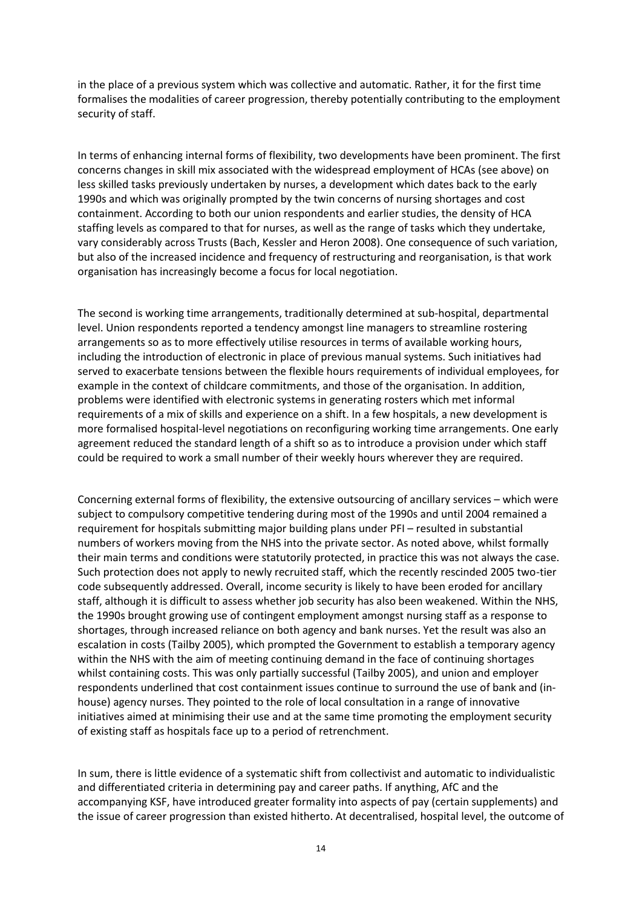in the place of a previous system which was collective and automatic. Rather, it for the first time formalises the modalities of career progression, thereby potentially contributing to the employment security of staff.

In terms of enhancing internal forms of flexibility, two developments have been prominent. The first concerns changes in skill mix associated with the widespread employment of HCAs (see above) on less skilled tasks previously undertaken by nurses, a development which dates back to the early 1990s and which was originally prompted by the twin concerns of nursing shortages and cost containment. According to both our union respondents and earlier studies, the density of HCA staffing levels as compared to that for nurses, as well as the range of tasks which they undertake, vary considerably across Trusts (Bach, Kessler and Heron 2008). One consequence of such variation, but also of the increased incidence and frequency of restructuring and reorganisation, is that work organisation has increasingly become a focus for local negotiation.

The second is working time arrangements, traditionally determined at sub-hospital, departmental level. Union respondents reported a tendency amongst line managers to streamline rostering arrangements so as to more effectively utilise resources in terms of available working hours, including the introduction of electronic in place of previous manual systems. Such initiatives had served to exacerbate tensions between the flexible hours requirements of individual employees, for example in the context of childcare commitments, and those of the organisation. In addition, problems were identified with electronic systems in generating rosters which met informal requirements of a mix of skills and experience on a shift. In a few hospitals, a new development is more formalised hospital-level negotiations on reconfiguring working time arrangements. One early agreement reduced the standard length of a shift so as to introduce a provision under which staff could be required to work a small number of their weekly hours wherever they are required.

Concerning external forms of flexibility, the extensive outsourcing of ancillary services – which were subject to compulsory competitive tendering during most of the 1990s and until 2004 remained a requirement for hospitals submitting major building plans under PFI – resulted in substantial numbers of workers moving from the NHS into the private sector. As noted above, whilst formally their main terms and conditions were statutorily protected, in practice this was not always the case. Such protection does not apply to newly recruited staff, which the recently rescinded 2005 two-tier code subsequently addressed. Overall, income security is likely to have been eroded for ancillary staff, although it is difficult to assess whether job security has also been weakened. Within the NHS, the 1990s brought growing use of contingent employment amongst nursing staff as a response to shortages, through increased reliance on both agency and bank nurses. Yet the result was also an escalation in costs (Tailby 2005), which prompted the Government to establish a temporary agency within the NHS with the aim of meeting continuing demand in the face of continuing shortages whilst containing costs. This was only partially successful (Tailby 2005), and union and employer respondents underlined that cost containment issues continue to surround the use of bank and (inhouse) agency nurses. They pointed to the role of local consultation in a range of innovative initiatives aimed at minimising their use and at the same time promoting the employment security of existing staff as hospitals face up to a period of retrenchment.

In sum, there is little evidence of a systematic shift from collectivist and automatic to individualistic and differentiated criteria in determining pay and career paths. If anything, AfC and the accompanying KSF, have introduced greater formality into aspects of pay (certain supplements) and the issue of career progression than existed hitherto. At decentralised, hospital level, the outcome of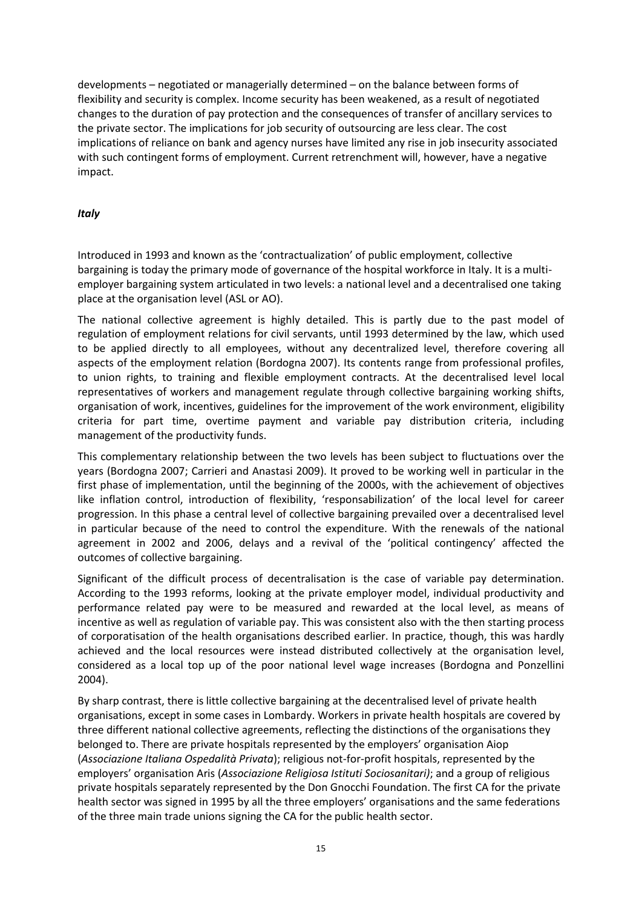developments – negotiated or managerially determined – on the balance between forms of flexibility and security is complex. Income security has been weakened, as a result of negotiated changes to the duration of pay protection and the consequences of transfer of ancillary services to the private sector. The implications for job security of outsourcing are less clear. The cost implications of reliance on bank and agency nurses have limited any rise in job insecurity associated with such contingent forms of employment. Current retrenchment will, however, have a negative impact.

#### *Italy*

Introduced in 1993 and known as the 'contractualization' of public employment, collective bargaining is today the primary mode of governance of the hospital workforce in Italy. It is a multiemployer bargaining system articulated in two levels: a national level and a decentralised one taking place at the organisation level (ASL or AO).

The national collective agreement is highly detailed. This is partly due to the past model of regulation of employment relations for civil servants, until 1993 determined by the law, which used to be applied directly to all employees, without any decentralized level, therefore covering all aspects of the employment relation (Bordogna 2007). Its contents range from professional profiles, to union rights, to training and flexible employment contracts. At the decentralised level local representatives of workers and management regulate through collective bargaining working shifts, organisation of work, incentives, guidelines for the improvement of the work environment, eligibility criteria for part time, overtime payment and variable pay distribution criteria, including management of the productivity funds.

This complementary relationship between the two levels has been subject to fluctuations over the years (Bordogna 2007; Carrieri and Anastasi 2009). It proved to be working well in particular in the first phase of implementation, until the beginning of the 2000s, with the achievement of objectives like inflation control, introduction of flexibility, 'responsabilization' of the local level for career progression. In this phase a central level of collective bargaining prevailed over a decentralised level in particular because of the need to control the expenditure. With the renewals of the national agreement in 2002 and 2006, delays and a revival of the 'political contingency' affected the outcomes of collective bargaining.

Significant of the difficult process of decentralisation is the case of variable pay determination. According to the 1993 reforms, looking at the private employer model, individual productivity and performance related pay were to be measured and rewarded at the local level, as means of incentive as well as regulation of variable pay. This was consistent also with the then starting process of corporatisation of the health organisations described earlier. In practice, though, this was hardly achieved and the local resources were instead distributed collectively at the organisation level, considered as a local top up of the poor national level wage increases (Bordogna and Ponzellini 2004).

By sharp contrast, there is little collective bargaining at the decentralised level of private health organisations, except in some cases in Lombardy. Workers in private health hospitals are covered by three different national collective agreements, reflecting the distinctions of the organisations they belonged to. There are private hospitals represented by the employers' organisation Aiop (*Associazione Italiana Ospedalità Privata*); religious not-for-profit hospitals, represented by the employers' organisation Aris (*Associazione Religiosa Istituti Sociosanitari)*; and a group of religious private hospitals separately represented by the Don Gnocchi Foundation. The first CA for the private health sector was signed in 1995 by all the three employers' organisations and the same federations of the three main trade unions signing the CA for the public health sector.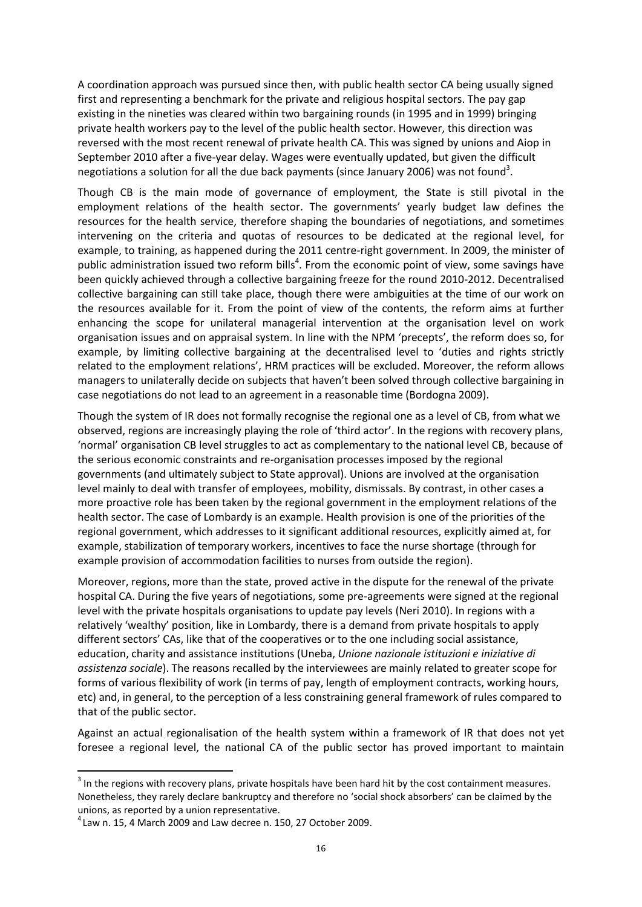A coordination approach was pursued since then, with public health sector CA being usually signed first and representing a benchmark for the private and religious hospital sectors. The pay gap existing in the nineties was cleared within two bargaining rounds (in 1995 and in 1999) bringing private health workers pay to the level of the public health sector. However, this direction was reversed with the most recent renewal of private health CA. This was signed by unions and Aiop in September 2010 after a five-year delay. Wages were eventually updated, but given the difficult negotiations a solution for all the due back payments (since January 2006) was not found<sup>3</sup>.

Though CB is the main mode of governance of employment, the State is still pivotal in the employment relations of the health sector. The governments' yearly budget law defines the resources for the health service, therefore shaping the boundaries of negotiations, and sometimes intervening on the criteria and quotas of resources to be dedicated at the regional level, for example, to training, as happened during the 2011 centre-right government. In 2009, the minister of public administration issued two reform bills<sup>4</sup>. From the economic point of view, some savings have been quickly achieved through a collective bargaining freeze for the round 2010-2012. Decentralised collective bargaining can still take place, though there were ambiguities at the time of our work on the resources available for it. From the point of view of the contents, the reform aims at further enhancing the scope for unilateral managerial intervention at the organisation level on work organisation issues and on appraisal system. In line with the NPM 'precepts', the reform does so, for example, by limiting collective bargaining at the decentralised level to 'duties and rights strictly related to the employment relations', HRM practices will be excluded. Moreover, the reform allows managers to unilaterally decide on subjects that haven't been solved through collective bargaining in case negotiations do not lead to an agreement in a reasonable time (Bordogna 2009).

Though the system of IR does not formally recognise the regional one as a level of CB, from what we observed, regions are increasingly playing the role of 'third actor'. In the regions with recovery plans, 'normal' organisation CB level struggles to act as complementary to the national level CB, because of the serious economic constraints and re-organisation processes imposed by the regional governments (and ultimately subject to State approval). Unions are involved at the organisation level mainly to deal with transfer of employees, mobility, dismissals. By contrast, in other cases a more proactive role has been taken by the regional government in the employment relations of the health sector. The case of Lombardy is an example. Health provision is one of the priorities of the regional government, which addresses to it significant additional resources, explicitly aimed at, for example, stabilization of temporary workers, incentives to face the nurse shortage (through for example provision of accommodation facilities to nurses from outside the region).

Moreover, regions, more than the state, proved active in the dispute for the renewal of the private hospital CA. During the five years of negotiations, some pre-agreements were signed at the regional level with the private hospitals organisations to update pay levels (Neri 2010). In regions with a relatively 'wealthy' position, like in Lombardy, there is a demand from private hospitals to apply different sectors' CAs, like that of the cooperatives or to the one including social assistance, education, charity and assistance institutions (Uneba, *Unione nazionale istituzioni e iniziative di assistenza sociale*). The reasons recalled by the interviewees are mainly related to greater scope for forms of various flexibility of work (in terms of pay, length of employment contracts, working hours, etc) and, in general, to the perception of a less constraining general framework of rules compared to that of the public sector.

Against an actual regionalisation of the health system within a framework of IR that does not yet foresee a regional level, the national CA of the public sector has proved important to maintain

**.** 

 $3$  In the regions with recovery plans, private hospitals have been hard hit by the cost containment measures. Nonetheless, they rarely declare bankruptcy and therefore no 'social shock absorbers' can be claimed by the unions, as reported by a union representative.

 $^4$ Law n. 15, 4 March 2009 and Law decree n. 150, 27 October 2009.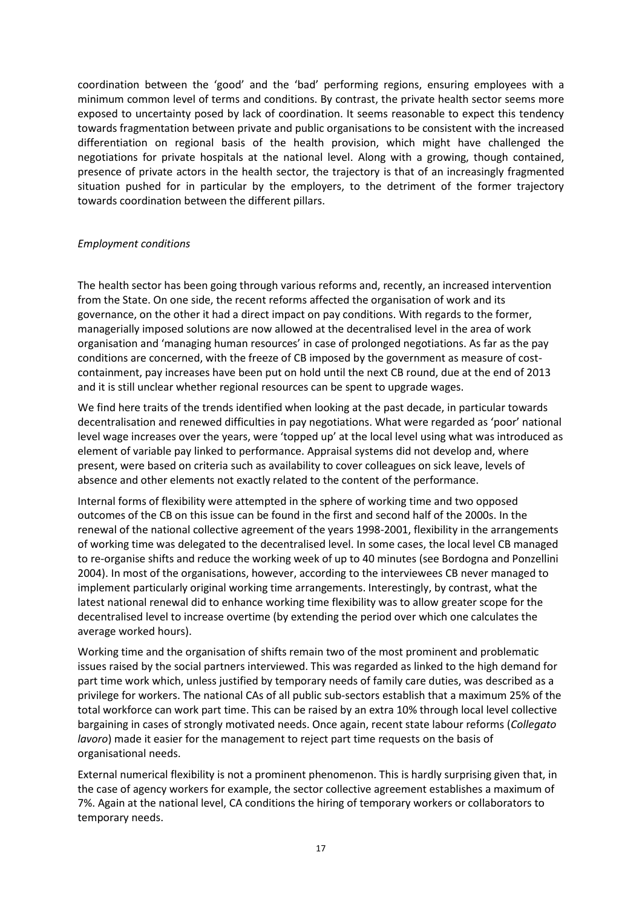coordination between the 'good' and the 'bad' performing regions, ensuring employees with a minimum common level of terms and conditions. By contrast, the private health sector seems more exposed to uncertainty posed by lack of coordination. It seems reasonable to expect this tendency towards fragmentation between private and public organisations to be consistent with the increased differentiation on regional basis of the health provision, which might have challenged the negotiations for private hospitals at the national level. Along with a growing, though contained, presence of private actors in the health sector, the trajectory is that of an increasingly fragmented situation pushed for in particular by the employers, to the detriment of the former trajectory towards coordination between the different pillars.

#### *Employment conditions*

The health sector has been going through various reforms and, recently, an increased intervention from the State. On one side, the recent reforms affected the organisation of work and its governance, on the other it had a direct impact on pay conditions. With regards to the former, managerially imposed solutions are now allowed at the decentralised level in the area of work organisation and 'managing human resources' in case of prolonged negotiations. As far as the pay conditions are concerned, with the freeze of CB imposed by the government as measure of costcontainment, pay increases have been put on hold until the next CB round, due at the end of 2013 and it is still unclear whether regional resources can be spent to upgrade wages.

We find here traits of the trends identified when looking at the past decade, in particular towards decentralisation and renewed difficulties in pay negotiations. What were regarded as 'poor' national level wage increases over the years, were 'topped up' at the local level using what was introduced as element of variable pay linked to performance. Appraisal systems did not develop and, where present, were based on criteria such as availability to cover colleagues on sick leave, levels of absence and other elements not exactly related to the content of the performance.

Internal forms of flexibility were attempted in the sphere of working time and two opposed outcomes of the CB on this issue can be found in the first and second half of the 2000s. In the renewal of the national collective agreement of the years 1998-2001, flexibility in the arrangements of working time was delegated to the decentralised level. In some cases, the local level CB managed to re-organise shifts and reduce the working week of up to 40 minutes (see Bordogna and Ponzellini 2004). In most of the organisations, however, according to the interviewees CB never managed to implement particularly original working time arrangements. Interestingly, by contrast, what the latest national renewal did to enhance working time flexibility was to allow greater scope for the decentralised level to increase overtime (by extending the period over which one calculates the average worked hours).

Working time and the organisation of shifts remain two of the most prominent and problematic issues raised by the social partners interviewed. This was regarded as linked to the high demand for part time work which, unless justified by temporary needs of family care duties, was described as a privilege for workers. The national CAs of all public sub-sectors establish that a maximum 25% of the total workforce can work part time. This can be raised by an extra 10% through local level collective bargaining in cases of strongly motivated needs. Once again, recent state labour reforms (*Collegato lavoro*) made it easier for the management to reject part time requests on the basis of organisational needs.

External numerical flexibility is not a prominent phenomenon. This is hardly surprising given that, in the case of agency workers for example, the sector collective agreement establishes a maximum of 7%. Again at the national level, CA conditions the hiring of temporary workers or collaborators to temporary needs.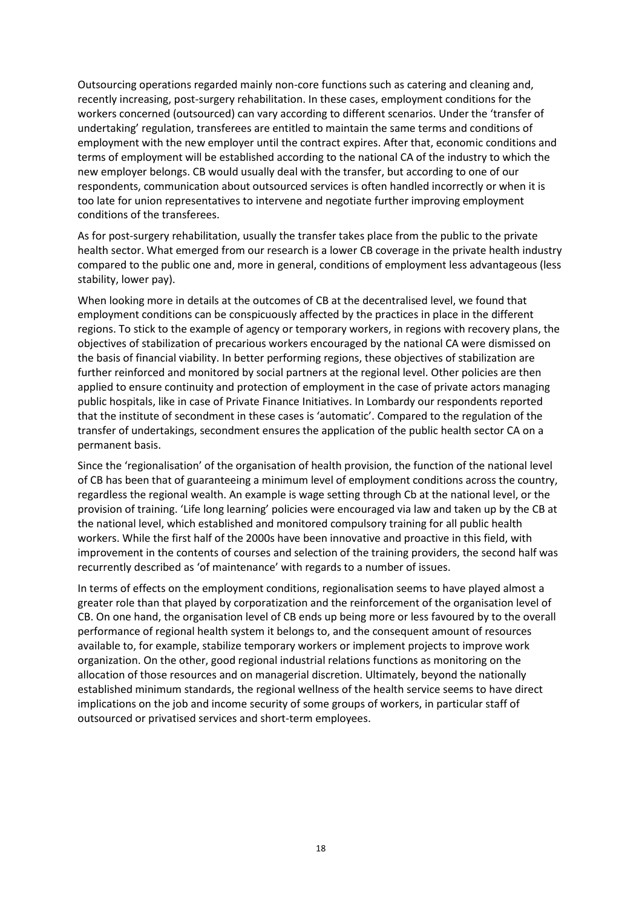Outsourcing operations regarded mainly non-core functions such as catering and cleaning and, recently increasing, post-surgery rehabilitation. In these cases, employment conditions for the workers concerned (outsourced) can vary according to different scenarios. Under the 'transfer of undertaking' regulation, transferees are entitled to maintain the same terms and conditions of employment with the new employer until the contract expires. After that, economic conditions and terms of employment will be established according to the national CA of the industry to which the new employer belongs. CB would usually deal with the transfer, but according to one of our respondents, communication about outsourced services is often handled incorrectly or when it is too late for union representatives to intervene and negotiate further improving employment conditions of the transferees.

As for post-surgery rehabilitation, usually the transfer takes place from the public to the private health sector. What emerged from our research is a lower CB coverage in the private health industry compared to the public one and, more in general, conditions of employment less advantageous (less stability, lower pay).

When looking more in details at the outcomes of CB at the decentralised level, we found that employment conditions can be conspicuously affected by the practices in place in the different regions. To stick to the example of agency or temporary workers, in regions with recovery plans, the objectives of stabilization of precarious workers encouraged by the national CA were dismissed on the basis of financial viability. In better performing regions, these objectives of stabilization are further reinforced and monitored by social partners at the regional level. Other policies are then applied to ensure continuity and protection of employment in the case of private actors managing public hospitals, like in case of Private Finance Initiatives. In Lombardy our respondents reported that the institute of secondment in these cases is 'automatic'. Compared to the regulation of the transfer of undertakings, secondment ensures the application of the public health sector CA on a permanent basis.

Since the 'regionalisation' of the organisation of health provision, the function of the national level of CB has been that of guaranteeing a minimum level of employment conditions across the country, regardless the regional wealth. An example is wage setting through Cb at the national level, or the provision of training. 'Life long learning' policies were encouraged via law and taken up by the CB at the national level, which established and monitored compulsory training for all public health workers. While the first half of the 2000s have been innovative and proactive in this field, with improvement in the contents of courses and selection of the training providers, the second half was recurrently described as 'of maintenance' with regards to a number of issues.

In terms of effects on the employment conditions, regionalisation seems to have played almost a greater role than that played by corporatization and the reinforcement of the organisation level of CB. On one hand, the organisation level of CB ends up being more or less favoured by to the overall performance of regional health system it belongs to, and the consequent amount of resources available to, for example, stabilize temporary workers or implement projects to improve work organization. On the other, good regional industrial relations functions as monitoring on the allocation of those resources and on managerial discretion. Ultimately, beyond the nationally established minimum standards, the regional wellness of the health service seems to have direct implications on the job and income security of some groups of workers, in particular staff of outsourced or privatised services and short-term employees.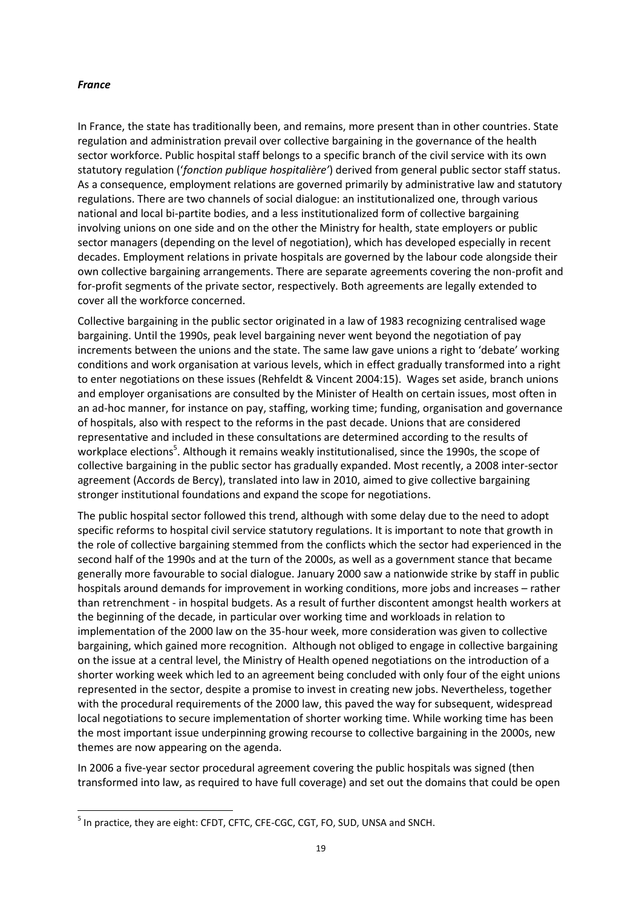#### *France*

**.** 

In France, the state has traditionally been, and remains, more present than in other countries. State regulation and administration prevail over collective bargaining in the governance of the health sector workforce. Public hospital staff belongs to a specific branch of the civil service with its own statutory regulation ('*fonction publique hospitalière'*) derived from general public sector staff status. As a consequence, employment relations are governed primarily by administrative law and statutory regulations. There are two channels of social dialogue: an institutionalized one, through various national and local bi-partite bodies, and a less institutionalized form of collective bargaining involving unions on one side and on the other the Ministry for health, state employers or public sector managers (depending on the level of negotiation), which has developed especially in recent decades. Employment relations in private hospitals are governed by the labour code alongside their own collective bargaining arrangements. There are separate agreements covering the non-profit and for-profit segments of the private sector, respectively. Both agreements are legally extended to cover all the workforce concerned.

Collective bargaining in the public sector originated in a law of 1983 recognizing centralised wage bargaining. Until the 1990s, peak level bargaining never went beyond the negotiation of pay increments between the unions and the state. The same law gave unions a right to 'debate' working conditions and work organisation at various levels, which in effect gradually transformed into a right to enter negotiations on these issues (Rehfeldt & Vincent 2004:15). Wages set aside, branch unions and employer organisations are consulted by the Minister of Health on certain issues, most often in an ad-hoc manner, for instance on pay, staffing, working time; funding, organisation and governance of hospitals, also with respect to the reforms in the past decade. Unions that are considered representative and included in these consultations are determined according to the results of workplace elections<sup>5</sup>. Although it remains weakly institutionalised, since the 1990s, the scope of collective bargaining in the public sector has gradually expanded. Most recently, a 2008 inter-sector agreement (Accords de Bercy), translated into law in 2010, aimed to give collective bargaining stronger institutional foundations and expand the scope for negotiations.

The public hospital sector followed this trend, although with some delay due to the need to adopt specific reforms to hospital civil service statutory regulations. It is important to note that growth in the role of collective bargaining stemmed from the conflicts which the sector had experienced in the second half of the 1990s and at the turn of the 2000s, as well as a government stance that became generally more favourable to social dialogue. January 2000 saw a nationwide strike by staff in public hospitals around demands for improvement in working conditions, more jobs and increases – rather than retrenchment - in hospital budgets. As a result of further discontent amongst health workers at the beginning of the decade, in particular over working time and workloads in relation to implementation of the 2000 law on the 35-hour week, more consideration was given to collective bargaining, which gained more recognition. Although not obliged to engage in collective bargaining on the issue at a central level, the Ministry of Health opened negotiations on the introduction of a shorter working week which led to an agreement being concluded with only four of the eight unions represented in the sector, despite a promise to invest in creating new jobs. Nevertheless, together with the procedural requirements of the 2000 law, this paved the way for subsequent, widespread local negotiations to secure implementation of shorter working time. While working time has been the most important issue underpinning growing recourse to collective bargaining in the 2000s, new themes are now appearing on the agenda.

In 2006 a five-year sector procedural agreement covering the public hospitals was signed (then transformed into law, as required to have full coverage) and set out the domains that could be open

<sup>&</sup>lt;sup>5</sup> In practice, they are eight: CFDT, CFTC, CFE-CGC, CGT, FO, SUD, UNSA and SNCH.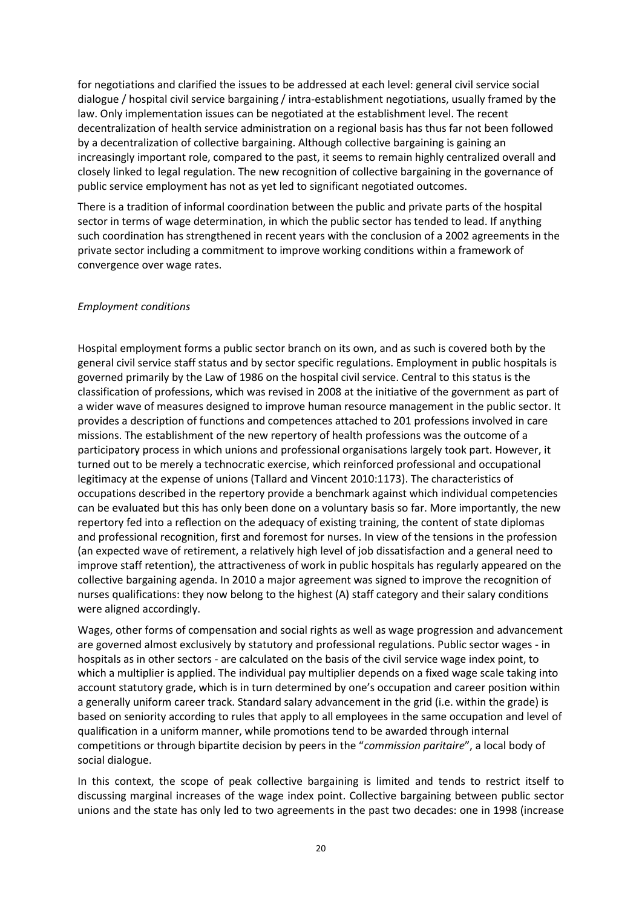for negotiations and clarified the issues to be addressed at each level: general civil service social dialogue / hospital civil service bargaining / intra-establishment negotiations, usually framed by the law. Only implementation issues can be negotiated at the establishment level. The recent decentralization of health service administration on a regional basis has thus far not been followed by a decentralization of collective bargaining. Although collective bargaining is gaining an increasingly important role, compared to the past, it seems to remain highly centralized overall and closely linked to legal regulation. The new recognition of collective bargaining in the governance of public service employment has not as yet led to significant negotiated outcomes.

There is a tradition of informal coordination between the public and private parts of the hospital sector in terms of wage determination, in which the public sector has tended to lead. If anything such coordination has strengthened in recent years with the conclusion of a 2002 agreements in the private sector including a commitment to improve working conditions within a framework of convergence over wage rates.

#### *Employment conditions*

Hospital employment forms a public sector branch on its own, and as such is covered both by the general civil service staff status and by sector specific regulations. Employment in public hospitals is governed primarily by the Law of 1986 on the hospital civil service. Central to this status is the classification of professions, which was revised in 2008 at the initiative of the government as part of a wider wave of measures designed to improve human resource management in the public sector. It provides a description of functions and competences attached to 201 professions involved in care missions. The establishment of the new repertory of health professions was the outcome of a participatory process in which unions and professional organisations largely took part. However, it turned out to be merely a technocratic exercise, which reinforced professional and occupational legitimacy at the expense of unions (Tallard and Vincent 2010:1173). The characteristics of occupations described in the repertory provide a benchmark against which individual competencies can be evaluated but this has only been done on a voluntary basis so far. More importantly, the new repertory fed into a reflection on the adequacy of existing training, the content of state diplomas and professional recognition, first and foremost for nurses. In view of the tensions in the profession (an expected wave of retirement, a relatively high level of job dissatisfaction and a general need to improve staff retention), the attractiveness of work in public hospitals has regularly appeared on the collective bargaining agenda. In 2010 a major agreement was signed to improve the recognition of nurses qualifications: they now belong to the highest (A) staff category and their salary conditions were aligned accordingly.

Wages, other forms of compensation and social rights as well as wage progression and advancement are governed almost exclusively by statutory and professional regulations. Public sector wages - in hospitals as in other sectors - are calculated on the basis of the civil service wage index point, to which a multiplier is applied. The individual pay multiplier depends on a fixed wage scale taking into account statutory grade, which is in turn determined by one's occupation and career position within a generally uniform career track. Standard salary advancement in the grid (i.e. within the grade) is based on seniority according to rules that apply to all employees in the same occupation and level of qualification in a uniform manner, while promotions tend to be awarded through internal competitions or through bipartite decision by peers in the "*commission paritaire*", a local body of social dialogue.

In this context, the scope of peak collective bargaining is limited and tends to restrict itself to discussing marginal increases of the wage index point. Collective bargaining between public sector unions and the state has only led to two agreements in the past two decades: one in 1998 (increase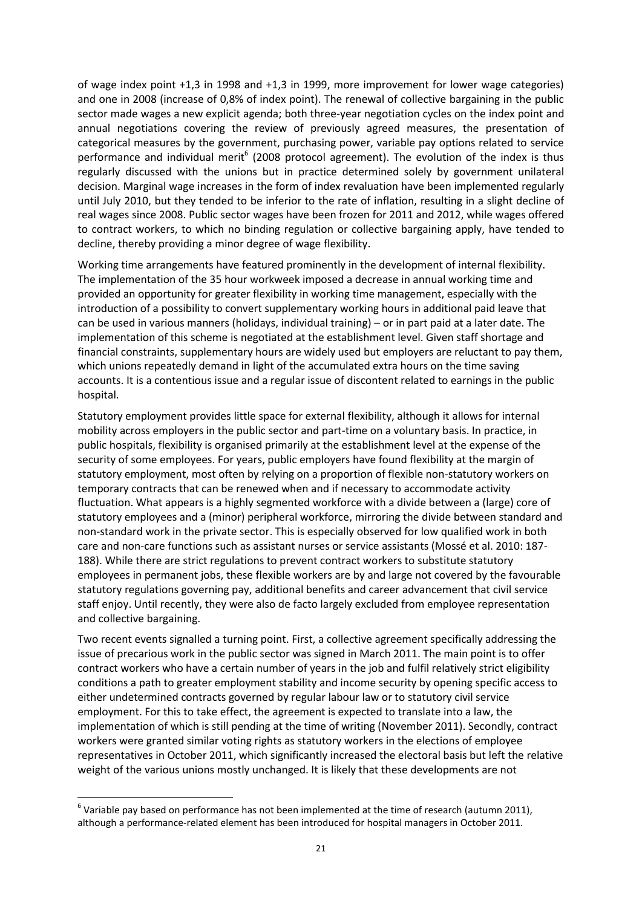of wage index point +1,3 in 1998 and +1,3 in 1999, more improvement for lower wage categories) and one in 2008 (increase of 0,8% of index point). The renewal of collective bargaining in the public sector made wages a new explicit agenda; both three-year negotiation cycles on the index point and annual negotiations covering the review of previously agreed measures, the presentation of categorical measures by the government, purchasing power, variable pay options related to service performance and individual merit<sup>6</sup> (2008 protocol agreement). The evolution of the index is thus regularly discussed with the unions but in practice determined solely by government unilateral decision. Marginal wage increases in the form of index revaluation have been implemented regularly until July 2010, but they tended to be inferior to the rate of inflation, resulting in a slight decline of real wages since 2008. Public sector wages have been frozen for 2011 and 2012, while wages offered to contract workers, to which no binding regulation or collective bargaining apply, have tended to decline, thereby providing a minor degree of wage flexibility.

Working time arrangements have featured prominently in the development of internal flexibility. The implementation of the 35 hour workweek imposed a decrease in annual working time and provided an opportunity for greater flexibility in working time management, especially with the introduction of a possibility to convert supplementary working hours in additional paid leave that can be used in various manners (holidays, individual training) – or in part paid at a later date. The implementation of this scheme is negotiated at the establishment level. Given staff shortage and financial constraints, supplementary hours are widely used but employers are reluctant to pay them, which unions repeatedly demand in light of the accumulated extra hours on the time saving accounts. It is a contentious issue and a regular issue of discontent related to earnings in the public hospital.

Statutory employment provides little space for external flexibility, although it allows for internal mobility across employers in the public sector and part-time on a voluntary basis. In practice, in public hospitals, flexibility is organised primarily at the establishment level at the expense of the security of some employees. For years, public employers have found flexibility at the margin of statutory employment, most often by relying on a proportion of flexible non-statutory workers on temporary contracts that can be renewed when and if necessary to accommodate activity fluctuation. What appears is a highly segmented workforce with a divide between a (large) core of statutory employees and a (minor) peripheral workforce, mirroring the divide between standard and non-standard work in the private sector. This is especially observed for low qualified work in both care and non-care functions such as assistant nurses or service assistants (Mossé et al. 2010: 187- 188). While there are strict regulations to prevent contract workers to substitute statutory employees in permanent jobs, these flexible workers are by and large not covered by the favourable statutory regulations governing pay, additional benefits and career advancement that civil service staff enjoy. Until recently, they were also de facto largely excluded from employee representation and collective bargaining.

Two recent events signalled a turning point. First, a collective agreement specifically addressing the issue of precarious work in the public sector was signed in March 2011. The main point is to offer contract workers who have a certain number of years in the job and fulfil relatively strict eligibility conditions a path to greater employment stability and income security by opening specific access to either undetermined contracts governed by regular labour law or to statutory civil service employment. For this to take effect, the agreement is expected to translate into a law, the implementation of which is still pending at the time of writing (November 2011). Secondly, contract workers were granted similar voting rights as statutory workers in the elections of employee representatives in October 2011, which significantly increased the electoral basis but left the relative weight of the various unions mostly unchanged. It is likely that these developments are not

**.** 

 $<sup>6</sup>$  Variable pay based on performance has not been implemented at the time of research (autumn 2011),</sup> although a performance-related element has been introduced for hospital managers in October 2011.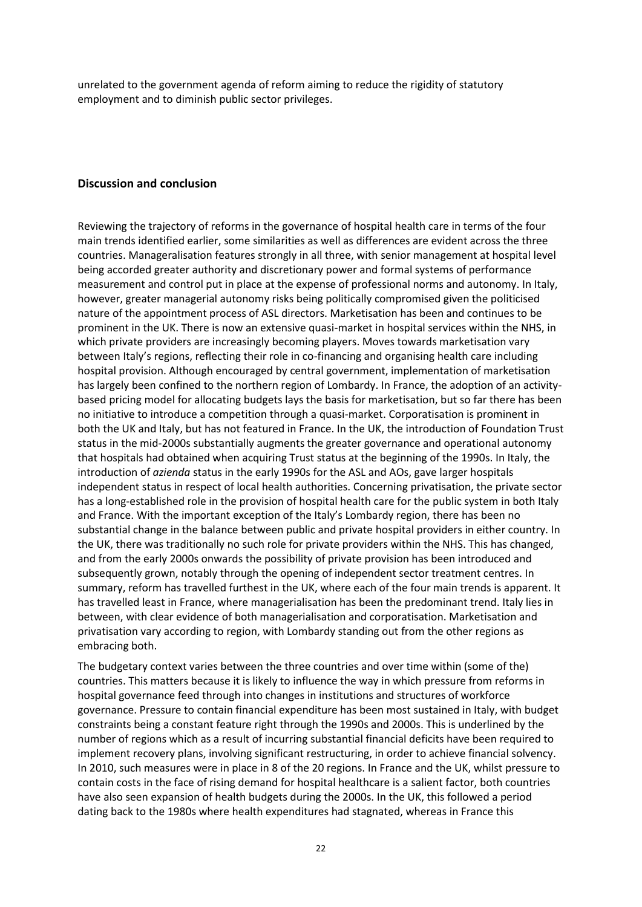unrelated to the government agenda of reform aiming to reduce the rigidity of statutory employment and to diminish public sector privileges.

#### **Discussion and conclusion**

Reviewing the trajectory of reforms in the governance of hospital health care in terms of the four main trends identified earlier, some similarities as well as differences are evident across the three countries. Manageralisation features strongly in all three, with senior management at hospital level being accorded greater authority and discretionary power and formal systems of performance measurement and control put in place at the expense of professional norms and autonomy. In Italy, however, greater managerial autonomy risks being politically compromised given the politicised nature of the appointment process of ASL directors. Marketisation has been and continues to be prominent in the UK. There is now an extensive quasi-market in hospital services within the NHS, in which private providers are increasingly becoming players. Moves towards marketisation vary between Italy's regions, reflecting their role in co-financing and organising health care including hospital provision. Although encouraged by central government, implementation of marketisation has largely been confined to the northern region of Lombardy. In France, the adoption of an activitybased pricing model for allocating budgets lays the basis for marketisation, but so far there has been no initiative to introduce a competition through a quasi-market. Corporatisation is prominent in both the UK and Italy, but has not featured in France. In the UK, the introduction of Foundation Trust status in the mid-2000s substantially augments the greater governance and operational autonomy that hospitals had obtained when acquiring Trust status at the beginning of the 1990s. In Italy, the introduction of *azienda* status in the early 1990s for the ASL and AOs, gave larger hospitals independent status in respect of local health authorities. Concerning privatisation, the private sector has a long-established role in the provision of hospital health care for the public system in both Italy and France. With the important exception of the Italy's Lombardy region, there has been no substantial change in the balance between public and private hospital providers in either country. In the UK, there was traditionally no such role for private providers within the NHS. This has changed, and from the early 2000s onwards the possibility of private provision has been introduced and subsequently grown, notably through the opening of independent sector treatment centres. In summary, reform has travelled furthest in the UK, where each of the four main trends is apparent. It has travelled least in France, where managerialisation has been the predominant trend. Italy lies in between, with clear evidence of both managerialisation and corporatisation. Marketisation and privatisation vary according to region, with Lombardy standing out from the other regions as embracing both.

The budgetary context varies between the three countries and over time within (some of the) countries. This matters because it is likely to influence the way in which pressure from reforms in hospital governance feed through into changes in institutions and structures of workforce governance. Pressure to contain financial expenditure has been most sustained in Italy, with budget constraints being a constant feature right through the 1990s and 2000s. This is underlined by the number of regions which as a result of incurring substantial financial deficits have been required to implement recovery plans, involving significant restructuring, in order to achieve financial solvency. In 2010, such measures were in place in 8 of the 20 regions. In France and the UK, whilst pressure to contain costs in the face of rising demand for hospital healthcare is a salient factor, both countries have also seen expansion of health budgets during the 2000s. In the UK, this followed a period dating back to the 1980s where health expenditures had stagnated, whereas in France this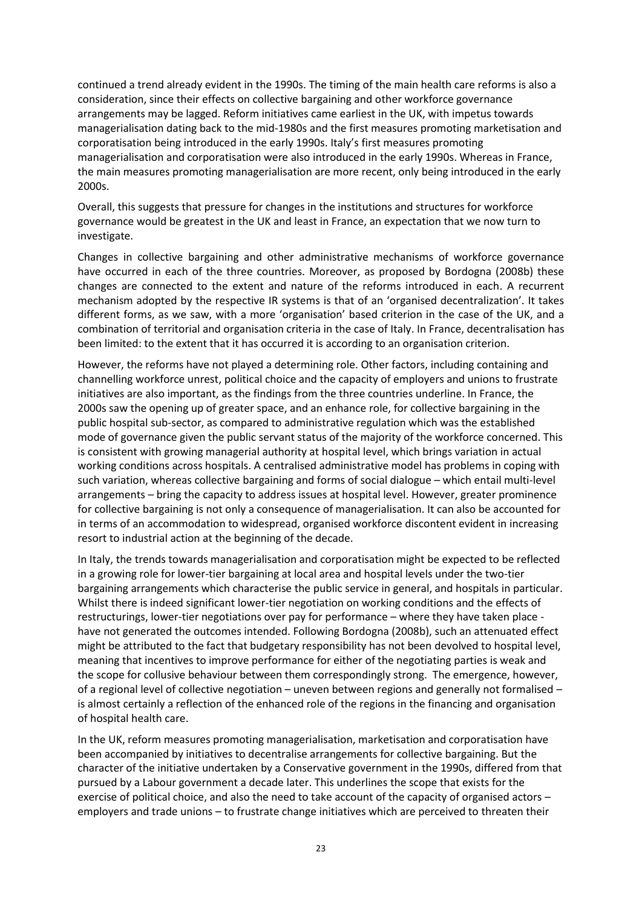continued a trend already evident in the 1990s. The timing of the main health care reforms is also a consideration, since their effects on collective bargaining and other workforce governance arrangements may be lagged. Reform initiatives came earliest in the UK, with impetus towards managerialisation dating back to the mid-1980s and the first measures promoting marketisation and corporatisation being introduced in the early 1990s. Italy's first measures promoting managerialisation and corporatisation were also introduced in the early 1990s. Whereas in France, the main measures promoting managerialisation are more recent, only being introduced in the early 2000s.

Overall, this suggests that pressure for changes in the institutions and structures for workforce governance would be greatest in the UK and least in France, an expectation that we now turn to investigate.

Changes in collective bargaining and other administrative mechanisms of workforce governance have occurred in each of the three countries. Moreover, as proposed by Bordogna (2008b) these changes are connected to the extent and nature of the reforms introduced in each. A recurrent mechanism adopted by the respective IR systems is that of an 'organised decentralization'. It takes different forms, as we saw, with a more 'organisation' based criterion in the case of the UK, and a combination of territorial and organisation criteria in the case of Italy. In France, decentralisation has been limited: to the extent that it has occurred it is according to an organisation criterion.

However, the reforms have not played a determining role. Other factors, including containing and channelling workforce unrest, political choice and the capacity of employers and unions to frustrate initiatives are also important, as the findings from the three countries underline. In France, the 2000s saw the opening up of greater space, and an enhance role, for collective bargaining in the public hospital sub-sector, as compared to administrative regulation which was the established mode of governance given the public servant status of the majority of the workforce concerned. This is consistent with growing managerial authority at hospital level, which brings variation in actual working conditions across hospitals. A centralised administrative model has problems in coping with such variation, whereas collective bargaining and forms of social dialogue – which entail multi-level arrangements – bring the capacity to address issues at hospital level. However, greater prominence for collective bargaining is not only a consequence of managerialisation. It can also be accounted for in terms of an accommodation to widespread, organised workforce discontent evident in increasing resort to industrial action at the beginning of the decade.

In Italy, the trends towards managerialisation and corporatisation might be expected to be reflected in a growing role for lower-tier bargaining at local area and hospital levels under the two-tier bargaining arrangements which characterise the public service in general, and hospitals in particular. Whilst there is indeed significant lower-tier negotiation on working conditions and the effects of restructurings, lower-tier negotiations over pay for performance – where they have taken place have not generated the outcomes intended. Following Bordogna (2008b), such an attenuated effect might be attributed to the fact that budgetary responsibility has not been devolved to hospital level, meaning that incentives to improve performance for either of the negotiating parties is weak and the scope for collusive behaviour between them correspondingly strong. The emergence, however, of a regional level of collective negotiation – uneven between regions and generally not formalised – is almost certainly a reflection of the enhanced role of the regions in the financing and organisation of hospital health care.

In the UK, reform measures promoting managerialisation, marketisation and corporatisation have been accompanied by initiatives to decentralise arrangements for collective bargaining. But the character of the initiative undertaken by a Conservative government in the 1990s, differed from that pursued by a Labour government a decade later. This underlines the scope that exists for the exercise of political choice, and also the need to take account of the capacity of organised actors – employers and trade unions – to frustrate change initiatives which are perceived to threaten their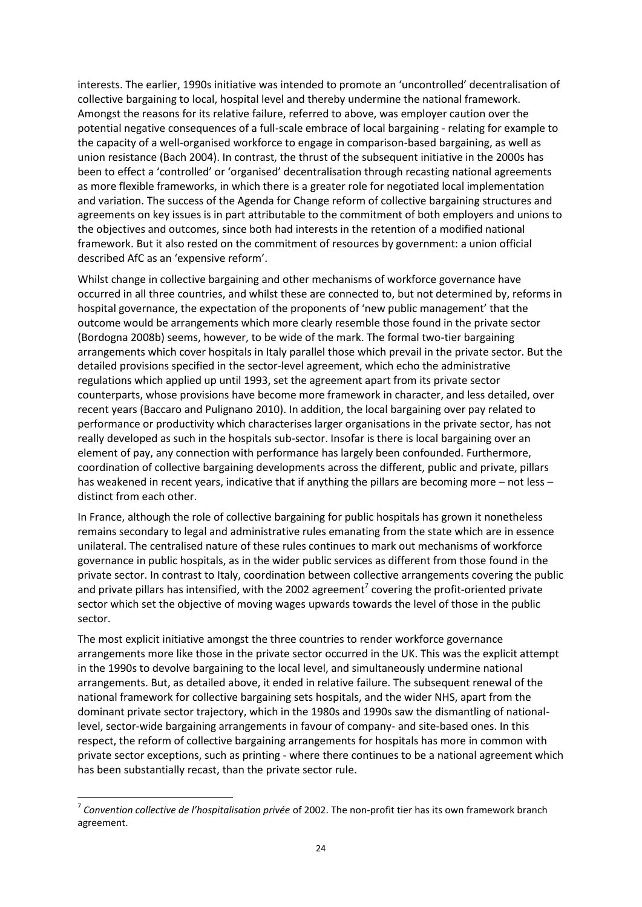interests. The earlier, 1990s initiative was intended to promote an 'uncontrolled' decentralisation of collective bargaining to local, hospital level and thereby undermine the national framework. Amongst the reasons for its relative failure, referred to above, was employer caution over the potential negative consequences of a full-scale embrace of local bargaining - relating for example to the capacity of a well-organised workforce to engage in comparison-based bargaining, as well as union resistance (Bach 2004). In contrast, the thrust of the subsequent initiative in the 2000s has been to effect a 'controlled' or 'organised' decentralisation through recasting national agreements as more flexible frameworks, in which there is a greater role for negotiated local implementation and variation. The success of the Agenda for Change reform of collective bargaining structures and agreements on key issues is in part attributable to the commitment of both employers and unions to the objectives and outcomes, since both had interests in the retention of a modified national framework. But it also rested on the commitment of resources by government: a union official described AfC as an 'expensive reform'.

Whilst change in collective bargaining and other mechanisms of workforce governance have occurred in all three countries, and whilst these are connected to, but not determined by, reforms in hospital governance, the expectation of the proponents of 'new public management' that the outcome would be arrangements which more clearly resemble those found in the private sector (Bordogna 2008b) seems, however, to be wide of the mark. The formal two-tier bargaining arrangements which cover hospitals in Italy parallel those which prevail in the private sector. But the detailed provisions specified in the sector-level agreement, which echo the administrative regulations which applied up until 1993, set the agreement apart from its private sector counterparts, whose provisions have become more framework in character, and less detailed, over recent years (Baccaro and Pulignano 2010). In addition, the local bargaining over pay related to performance or productivity which characterises larger organisations in the private sector, has not really developed as such in the hospitals sub-sector. Insofar is there is local bargaining over an element of pay, any connection with performance has largely been confounded. Furthermore, coordination of collective bargaining developments across the different, public and private, pillars has weakened in recent years, indicative that if anything the pillars are becoming more – not less – distinct from each other.

In France, although the role of collective bargaining for public hospitals has grown it nonetheless remains secondary to legal and administrative rules emanating from the state which are in essence unilateral. The centralised nature of these rules continues to mark out mechanisms of workforce governance in public hospitals, as in the wider public services as different from those found in the private sector. In contrast to Italy, coordination between collective arrangements covering the public and private pillars has intensified, with the 2002 agreement<sup>7</sup> covering the profit-oriented private sector which set the objective of moving wages upwards towards the level of those in the public sector.

The most explicit initiative amongst the three countries to render workforce governance arrangements more like those in the private sector occurred in the UK. This was the explicit attempt in the 1990s to devolve bargaining to the local level, and simultaneously undermine national arrangements. But, as detailed above, it ended in relative failure. The subsequent renewal of the national framework for collective bargaining sets hospitals, and the wider NHS, apart from the dominant private sector trajectory, which in the 1980s and 1990s saw the dismantling of nationallevel, sector-wide bargaining arrangements in favour of company- and site-based ones. In this respect, the reform of collective bargaining arrangements for hospitals has more in common with private sector exceptions, such as printing - where there continues to be a national agreement which has been substantially recast, than the private sector rule.

**.** 

<sup>7</sup> *Convention collective de l'hospitalisation privée* of 2002. The non-profit tier has its own framework branch agreement.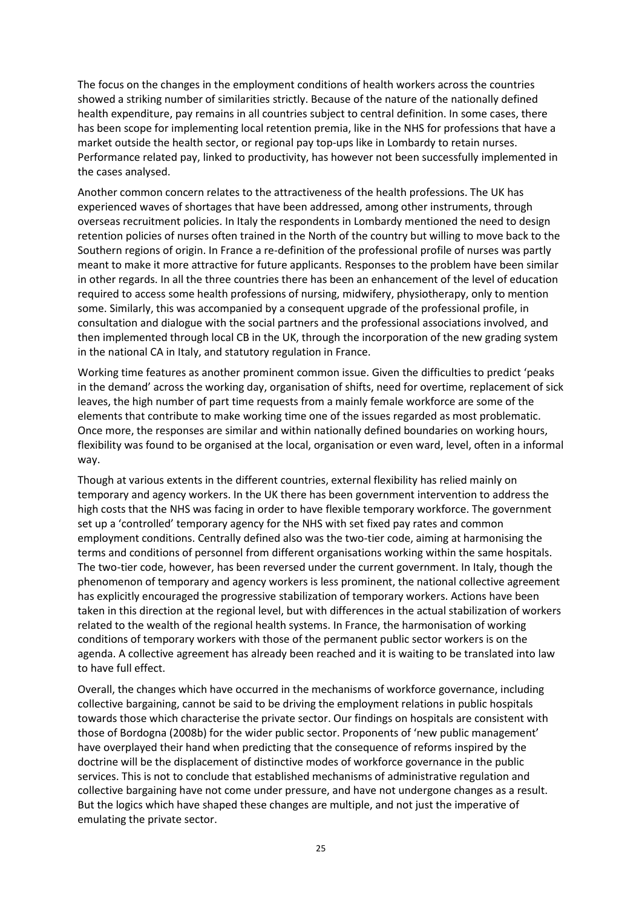The focus on the changes in the employment conditions of health workers across the countries showed a striking number of similarities strictly. Because of the nature of the nationally defined health expenditure, pay remains in all countries subject to central definition. In some cases, there has been scope for implementing local retention premia, like in the NHS for professions that have a market outside the health sector, or regional pay top-ups like in Lombardy to retain nurses. Performance related pay, linked to productivity, has however not been successfully implemented in the cases analysed.

Another common concern relates to the attractiveness of the health professions. The UK has experienced waves of shortages that have been addressed, among other instruments, through overseas recruitment policies. In Italy the respondents in Lombardy mentioned the need to design retention policies of nurses often trained in the North of the country but willing to move back to the Southern regions of origin. In France a re-definition of the professional profile of nurses was partly meant to make it more attractive for future applicants. Responses to the problem have been similar in other regards. In all the three countries there has been an enhancement of the level of education required to access some health professions of nursing, midwifery, physiotherapy, only to mention some. Similarly, this was accompanied by a consequent upgrade of the professional profile, in consultation and dialogue with the social partners and the professional associations involved, and then implemented through local CB in the UK, through the incorporation of the new grading system in the national CA in Italy, and statutory regulation in France.

Working time features as another prominent common issue. Given the difficulties to predict 'peaks in the demand' across the working day, organisation of shifts, need for overtime, replacement of sick leaves, the high number of part time requests from a mainly female workforce are some of the elements that contribute to make working time one of the issues regarded as most problematic. Once more, the responses are similar and within nationally defined boundaries on working hours, flexibility was found to be organised at the local, organisation or even ward, level, often in a informal way.

Though at various extents in the different countries, external flexibility has relied mainly on temporary and agency workers. In the UK there has been government intervention to address the high costs that the NHS was facing in order to have flexible temporary workforce. The government set up a 'controlled' temporary agency for the NHS with set fixed pay rates and common employment conditions. Centrally defined also was the two-tier code, aiming at harmonising the terms and conditions of personnel from different organisations working within the same hospitals. The two-tier code, however, has been reversed under the current government. In Italy, though the phenomenon of temporary and agency workers is less prominent, the national collective agreement has explicitly encouraged the progressive stabilization of temporary workers. Actions have been taken in this direction at the regional level, but with differences in the actual stabilization of workers related to the wealth of the regional health systems. In France, the harmonisation of working conditions of temporary workers with those of the permanent public sector workers is on the agenda. A collective agreement has already been reached and it is waiting to be translated into law to have full effect.

Overall, the changes which have occurred in the mechanisms of workforce governance, including collective bargaining, cannot be said to be driving the employment relations in public hospitals towards those which characterise the private sector. Our findings on hospitals are consistent with those of Bordogna (2008b) for the wider public sector. Proponents of 'new public management' have overplayed their hand when predicting that the consequence of reforms inspired by the doctrine will be the displacement of distinctive modes of workforce governance in the public services. This is not to conclude that established mechanisms of administrative regulation and collective bargaining have not come under pressure, and have not undergone changes as a result. But the logics which have shaped these changes are multiple, and not just the imperative of emulating the private sector.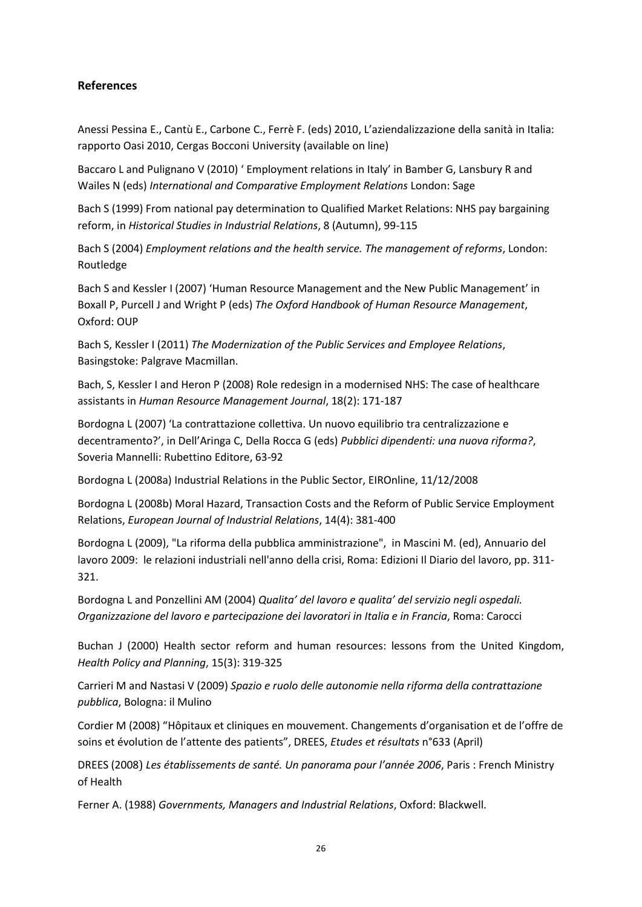### **References**

Anessi Pessina E., Cantù E., Carbone C., Ferrè F. (eds) 2010, L'aziendalizzazione della sanità in Italia: rapporto Oasi 2010, Cergas Bocconi University (available on line)

Baccaro L and Pulignano V (2010) ' Employment relations in Italy' in Bamber G, Lansbury R and Wailes N (eds) *International and Comparative Employment Relations* London: Sage

Bach S (1999) From national pay determination to Qualified Market Relations: NHS pay bargaining reform, in *Historical Studies in Industrial Relations*, 8 (Autumn), 99-115

Bach S (2004) *Employment relations and the health service. The management of reforms*, London: Routledge

Bach S and Kessler I (2007) 'Human Resource Management and the New Public Management' in Boxall P, Purcell J and Wright P (eds) *The Oxford Handbook of Human Resource Management*, Oxford: OUP

Bach S, Kessler I (2011) *The Modernization of the Public Services and Employee Relations*, Basingstoke: Palgrave Macmillan.

Bach, S, Kessler I and Heron P (2008) [Role redesign in a modernised NHS: The case of healthcare](http://www.sbs.ox.ac.uk/research/organisationalbehaviour/Documents/HRMJ%202008_web_.pdf)  [assistants](http://www.sbs.ox.ac.uk/research/organisationalbehaviour/Documents/HRMJ%202008_web_.pdf) in *Human Resource Management Journal*, 18(2): 171-187

Bordogna L (2007) 'La contrattazione collettiva. Un nuovo equilibrio tra centralizzazione e decentramento?', in Dell'Aringa C, Della Rocca G (eds) *Pubblici dipendenti: una nuova riforma?*, Soveria Mannelli: Rubettino Editore, 63-92

Bordogna L (2008a) Industrial Relations in the Public Sector, EIROnline, 11/12/2008

Bordogna L (2008b) Moral Hazard, Transaction Costs and the Reform of Public Service Employment Relations, *European Journal of Industrial Relations*, 14(4): 381-400

Bordogna L (2009), "La riforma della pubblica amministrazione", in Mascini M. (ed), Annuario del lavoro 2009: le relazioni industriali nell'anno della crisi, Roma: Edizioni Il Diario del lavoro, pp. 311- 321.

Bordogna L and Ponzellini AM (2004) *Qualita' del lavoro e qualita' del servizio negli ospedali. Organizzazione del lavoro e partecipazione dei lavoratori in Italia e in Francia*, Roma: Carocci

Buchan J (2000) Health sector reform and human resources: lessons from the United Kingdom, *Health Policy and Planning*, 15(3): 319-325

Carrieri M and Nastasi V (2009) *Spazio e ruolo delle autonomie nella riforma della contrattazione pubblica*, Bologna: il Mulino

Cordier M (2008) "Hôpitaux et cliniques en mouvement. Changements d'organisation et de l'offre de soins et évolution de l'attente des patients", DREES, *Etudes et résultats* n°633 (April)

DREES (2008) *Les établissements de santé. Un panorama pour l'année 2006*, Paris : French Ministry of Health

Ferner A. (1988) *Governments, Managers and Industrial Relations*, Oxford: Blackwell.